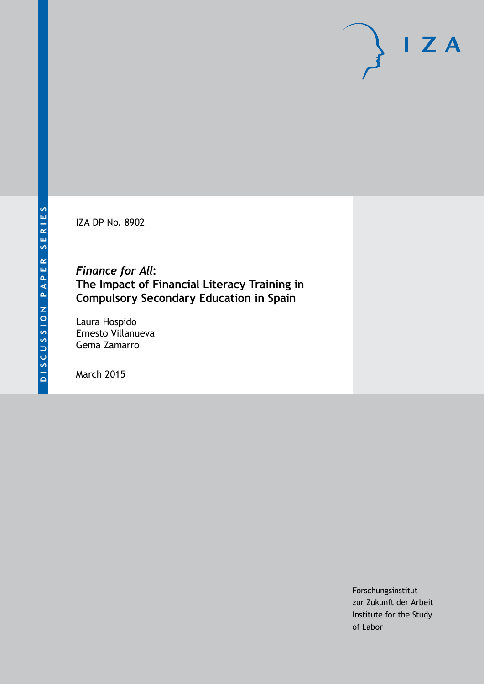IZA DP No. 8902

*Finance for All***: The Impact of Financial Literacy Training in Compulsory Secondary Education in Spain**

Laura Hospido Ernesto Villanueva Gema Zamarro

March 2015

Forschungsinstitut zur Zukunft der Arbeit Institute for the Study of Labor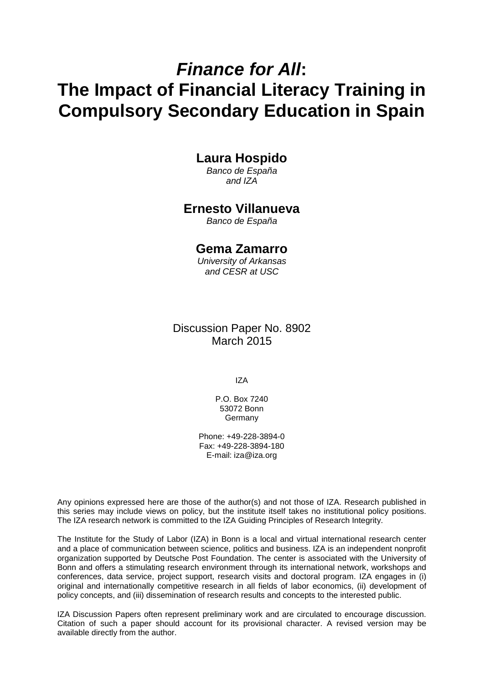# *Finance for All***: The Impact of Financial Literacy Training in Compulsory Secondary Education in Spain**

## **Laura Hospido**

*Banco de España and IZA*

## **Ernesto Villanueva**

*Banco de España*

## **Gema Zamarro**

*University of Arkansas and CESR at USC*

Discussion Paper No. 8902 March 2015

IZA

P.O. Box 7240 53072 Bonn **Germany** 

Phone: +49-228-3894-0 Fax: +49-228-3894-180 E-mail: iza@iza.org

Any opinions expressed here are those of the author(s) and not those of IZA. Research published in this series may include views on policy, but the institute itself takes no institutional policy positions. The IZA research network is committed to the IZA Guiding Principles of Research Integrity.

The Institute for the Study of Labor (IZA) in Bonn is a local and virtual international research center and a place of communication between science, politics and business. IZA is an independent nonprofit organization supported by Deutsche Post Foundation. The center is associated with the University of Bonn and offers a stimulating research environment through its international network, workshops and conferences, data service, project support, research visits and doctoral program. IZA engages in (i) original and internationally competitive research in all fields of labor economics, (ii) development of policy concepts, and (iii) dissemination of research results and concepts to the interested public.

<span id="page-1-0"></span>IZA Discussion Papers often represent preliminary work and are circulated to encourage discussion. Citation of such a paper should account for its provisional character. A revised version may be available directly from the author.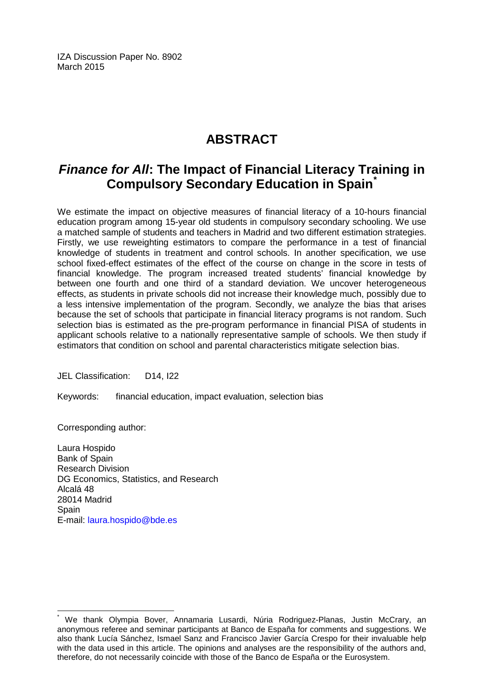IZA Discussion Paper No. 8902 March 2015

## **ABSTRACT**

## *Finance for All***: The Impact of Financial Literacy Training in Compulsory Secondary Education in Spain[\\*](#page-1-0)**

We estimate the impact on objective measures of financial literacy of a 10-hours financial education program among 15-year old students in compulsory secondary schooling. We use a matched sample of students and teachers in Madrid and two different estimation strategies. Firstly, we use reweighting estimators to compare the performance in a test of financial knowledge of students in treatment and control schools. In another specification, we use school fixed-effect estimates of the effect of the course on change in the score in tests of financial knowledge. The program increased treated students' financial knowledge by between one fourth and one third of a standard deviation. We uncover heterogeneous effects, as students in private schools did not increase their knowledge much, possibly due to a less intensive implementation of the program. Secondly, we analyze the bias that arises because the set of schools that participate in financial literacy programs is not random. Such selection bias is estimated as the pre-program performance in financial PISA of students in applicant schools relative to a nationally representative sample of schools. We then study if estimators that condition on school and parental characteristics mitigate selection bias.

JEL Classification: D14, I22

Keywords: financial education, impact evaluation, selection bias

Corresponding author:

Laura Hospido Bank of Spain Research Division DG Economics, Statistics, and Research Alcalá 48 28014 Madrid Spain E-mail: [laura.hospido@bde.es](mailto:laura.hospido@bde.es)

We thank Olympia Bover, Annamaria Lusardi, Núria Rodriguez-Planas, Justin McCrary, an anonymous referee and seminar participants at Banco de España for comments and suggestions. We also thank Lucía Sánchez, Ismael Sanz and Francisco Javier García Crespo for their invaluable help with the data used in this article. The opinions and analyses are the responsibility of the authors and, therefore, do not necessarily coincide with those of the Banco de España or the Eurosystem.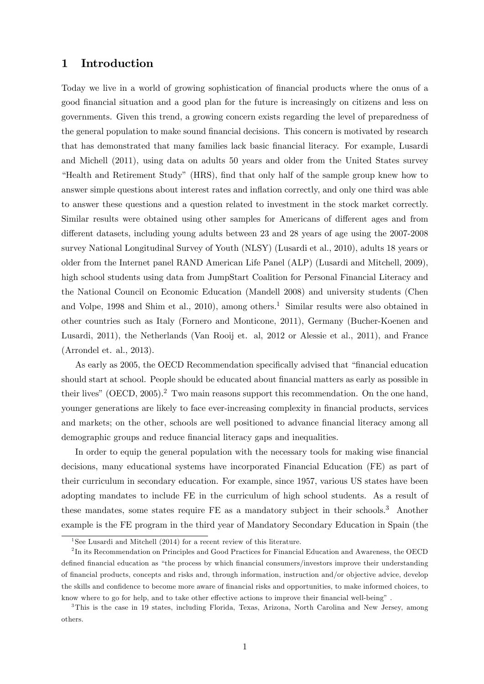## 1 Introduction

Today we live in a world of growing sophistication of financial products where the onus of a good financial situation and a good plan for the future is increasingly on citizens and less on governments. Given this trend, a growing concern exists regarding the level of preparedness of the general population to make sound financial decisions. This concern is motivated by research that has demonstrated that many families lack basic Önancial literacy. For example, Lusardi and Michell (2011), using data on adults 50 years and older from the United States survey ìHealth and Retirement Studyî (HRS), Önd that only half of the sample group knew how to answer simple questions about interest rates and inflation correctly, and only one third was able to answer these questions and a question related to investment in the stock market correctly. Similar results were obtained using other samples for Americans of different ages and from different datasets, including young adults between 23 and 28 years of age using the 2007-2008 survey National Longitudinal Survey of Youth (NLSY) (Lusardi et al., 2010), adults 18 years or older from the Internet panel RAND American Life Panel (ALP) (Lusardi and Mitchell, 2009), high school students using data from JumpStart Coalition for Personal Financial Literacy and the National Council on Economic Education (Mandell 2008) and university students (Chen and Volpe, [1](#page-3-0)998 and Shim et al., 2010), among others.<sup>1</sup> Similar results were also obtained in other countries such as Italy (Fornero and Monticone, 2011), Germany (Bucher-Koenen and Lusardi, 2011), the Netherlands (Van Rooij et. al, 2012 or Alessie et al., 2011), and France (Arrondel et. al., 2013).

As early as 2005, the OECD Recommendation specifically advised that "financial education should start at school. People should be educated about financial matters as early as possible in their lives" (OECD, [2](#page-3-1)005).<sup>2</sup> Two main reasons support this recommendation. On the one hand, younger generations are likely to face ever-increasing complexity in financial products, services and markets; on the other, schools are well positioned to advance financial literacy among all demographic groups and reduce financial literacy gaps and inequalities.

In order to equip the general population with the necessary tools for making wise financial decisions, many educational systems have incorporated Financial Education (FE) as part of their curriculum in secondary education. For example, since 1957, various US states have been adopting mandates to include FE in the curriculum of high school students. As a result of these mandates, some states require FE as a mandatory subject in their schools.[3](#page-3-2) Another example is the FE program in the third year of Mandatory Secondary Education in Spain (the

<span id="page-3-1"></span><span id="page-3-0"></span><sup>&</sup>lt;sup>1</sup>See Lusardi and Mitchell (2014) for a recent review of this literature.

<sup>&</sup>lt;sup>2</sup>In its Recommendation on Principles and Good Practices for Financial Education and Awareness, the OECD defined financial education as "the process by which financial consumers/investors improve their understanding of Önancial products, concepts and risks and, through information, instruction and/or objective advice, develop the skills and confidence to become more aware of financial risks and opportunities, to make informed choices, to know where to go for help, and to take other effective actions to improve their financial well-being".

<span id="page-3-2"></span><sup>3</sup>This is the case in 19 states, including Florida, Texas, Arizona, North Carolina and New Jersey, among others.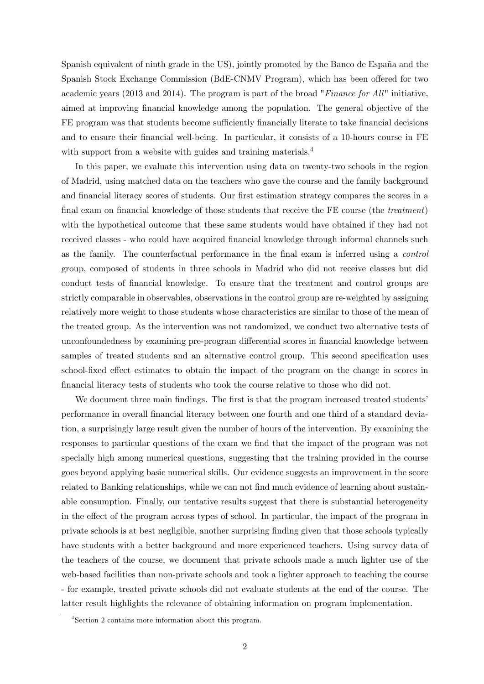Spanish equivalent of ninth grade in the US), jointly promoted by the Banco de España and the Spanish Stock Exchange Commission (BdE-CNMV Program), which has been offered for two academic years (2013 and 2014). The program is part of the broad "Finance for All" initiative, aimed at improving financial knowledge among the population. The general objective of the FE program was that students become sufficiently financially literate to take financial decisions and to ensure their financial well-being. In particular, it consists of a 10-hours course in FE with support from a website with guides and training materials.<sup>[4](#page-4-0)</sup>

In this paper, we evaluate this intervention using data on twenty-two schools in the region of Madrid, using matched data on the teachers who gave the course and the family background and financial literacy scores of students. Our first estimation strategy compares the scores in a final exam on financial knowledge of those students that receive the FE course (the treatment) with the hypothetical outcome that these same students would have obtained if they had not received classes - who could have acquired financial knowledge through informal channels such as the family. The counterfactual performance in the Önal exam is inferred using a control group, composed of students in three schools in Madrid who did not receive classes but did conduct tests of financial knowledge. To ensure that the treatment and control groups are strictly comparable in observables, observations in the control group are re-weighted by assigning relatively more weight to those students whose characteristics are similar to those of the mean of the treated group. As the intervention was not randomized, we conduct two alternative tests of unconfoundedness by examining pre-program differential scores in financial knowledge between samples of treated students and an alternative control group. This second specification uses school-fixed effect estimates to obtain the impact of the program on the change in scores in Önancial literacy tests of students who took the course relative to those who did not.

We document three main findings. The first is that the program increased treated students<sup>7</sup> performance in overall Önancial literacy between one fourth and one third of a standard deviation, a surprisingly large result given the number of hours of the intervention. By examining the responses to particular questions of the exam we find that the impact of the program was not specially high among numerical questions, suggesting that the training provided in the course goes beyond applying basic numerical skills. Our evidence suggests an improvement in the score related to Banking relationships, while we can not find much evidence of learning about sustainable consumption. Finally, our tentative results suggest that there is substantial heterogeneity in the effect of the program across types of school. In particular, the impact of the program in private schools is at best negligible, another surprising Önding given that those schools typically have students with a better background and more experienced teachers. Using survey data of the teachers of the course, we document that private schools made a much lighter use of the web-based facilities than non-private schools and took a lighter approach to teaching the course - for example, treated private schools did not evaluate students at the end of the course. The latter result highlights the relevance of obtaining information on program implementation.

<span id="page-4-0"></span><sup>4</sup> Section [2](#page-6-0) contains more information about this program.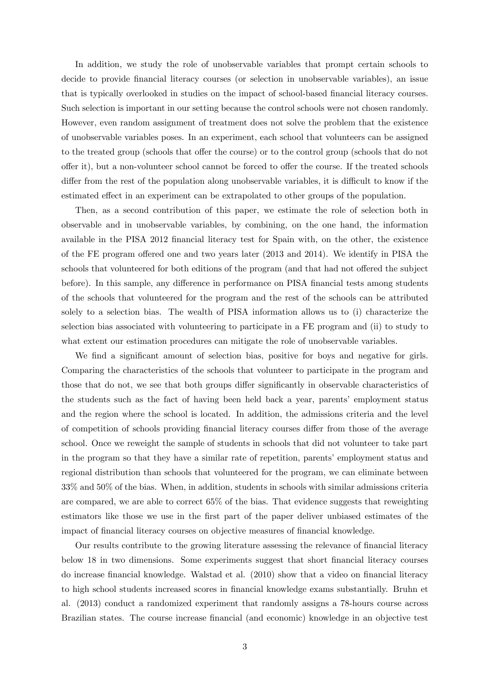In addition, we study the role of unobservable variables that prompt certain schools to decide to provide financial literacy courses (or selection in unobservable variables), an issue that is typically overlooked in studies on the impact of school-based financial literacy courses. Such selection is important in our setting because the control schools were not chosen randomly. However, even random assignment of treatment does not solve the problem that the existence of unobservable variables poses. In an experiment, each school that volunteers can be assigned to the treated group (schools that offer the course) or to the control group (schools that do not offer it), but a non-volunteer school cannot be forced to offer the course. If the treated schools differ from the rest of the population along unobservable variables, it is difficult to know if the estimated effect in an experiment can be extrapolated to other groups of the population.

Then, as a second contribution of this paper, we estimate the role of selection both in observable and in unobservable variables, by combining, on the one hand, the information available in the PISA 2012 financial literacy test for Spain with, on the other, the existence of the FE program offered one and two years later  $(2013 \text{ and } 2014)$ . We identify in PISA the schools that volunteered for both editions of the program (and that had not offered the subject before). In this sample, any difference in performance on PISA financial tests among students of the schools that volunteered for the program and the rest of the schools can be attributed solely to a selection bias. The wealth of PISA information allows us to (i) characterize the selection bias associated with volunteering to participate in a FE program and (ii) to study to what extent our estimation procedures can mitigate the role of unobservable variables.

We find a significant amount of selection bias, positive for boys and negative for girls. Comparing the characteristics of the schools that volunteer to participate in the program and those that do not, we see that both groups differ significantly in observable characteristics of the students such as the fact of having been held back a year, parentsí employment status and the region where the school is located. In addition, the admissions criteria and the level of competition of schools providing financial literacy courses differ from those of the average school. Once we reweight the sample of students in schools that did not volunteer to take part in the program so that they have a similar rate of repetition, parents' employment status and regional distribution than schools that volunteered for the program, we can eliminate between 33% and 50% of the bias. When, in addition, students in schools with similar admissions criteria are compared, we are able to correct 65% of the bias. That evidence suggests that reweighting estimators like those we use in the first part of the paper deliver unbiased estimates of the impact of financial literacy courses on objective measures of financial knowledge.

Our results contribute to the growing literature assessing the relevance of financial literacy below 18 in two dimensions. Some experiments suggest that short financial literacy courses do increase financial knowledge. Walstad et al. (2010) show that a video on financial literacy to high school students increased scores in financial knowledge exams substantially. Bruhn et al. (2013) conduct a randomized experiment that randomly assigns a 78-hours course across Brazilian states. The course increase financial (and economic) knowledge in an objective test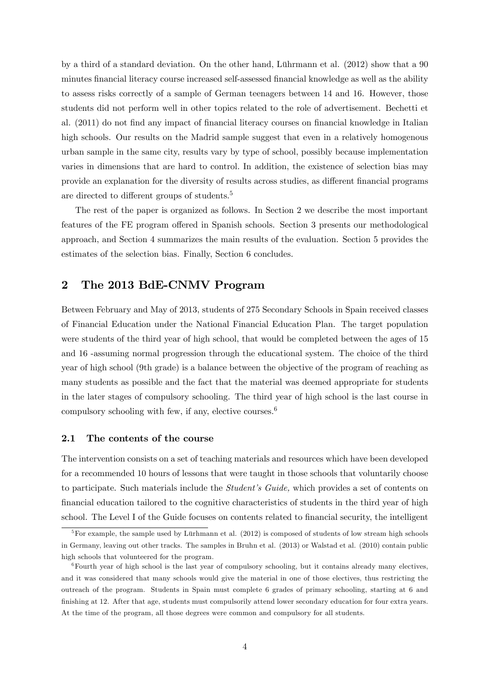by a third of a standard deviation. On the other hand, Lührmann et al.  $(2012)$  show that a 90 minutes financial literacy course increased self-assessed financial knowledge as well as the ability to assess risks correctly of a sample of German teenagers between 14 and 16. However, those students did not perform well in other topics related to the role of advertisement. Bechetti et al. (2011) do not find any impact of financial literacy courses on financial knowledge in Italian high schools. Our results on the Madrid sample suggest that even in a relatively homogenous urban sample in the same city, results vary by type of school, possibly because implementation varies in dimensions that are hard to control. In addition, the existence of selection bias may provide an explanation for the diversity of results across studies, as different financial programs are directed to different groups of students.<sup>[5](#page-6-1)</sup>

The rest of the paper is organized as follows. In Section [2](#page-6-0) we describe the most important features of the FE program offered in Spanish schools. Section [3](#page-11-0) presents our methodological approach, and Section [4](#page-13-0) summarizes the main results of the evaluation. Section [5](#page-20-0) provides the estimates of the selection bias. Finally, Section [6](#page-27-0) concludes.

## <span id="page-6-0"></span>2 The 2013 BdE-CNMV Program

Between February and May of 2013, students of 275 Secondary Schools in Spain received classes of Financial Education under the National Financial Education Plan. The target population were students of the third year of high school, that would be completed between the ages of 15 and 16 -assuming normal progression through the educational system. The choice of the third year of high school (9th grade) is a balance between the objective of the program of reaching as many students as possible and the fact that the material was deemed appropriate for students in the later stages of compulsory schooling. The third year of high school is the last course in compulsory schooling with few, if any, elective courses.<sup>[6](#page-6-2)</sup>

#### 2.1 The contents of the course

The intervention consists on a set of teaching materials and resources which have been developed for a recommended 10 hours of lessons that were taught in those schools that voluntarily choose to participate. Such materials include the *Student's Guide*, which provides a set of contents on Önancial education tailored to the cognitive characteristics of students in the third year of high school. The Level I of the Guide focuses on contents related to financial security, the intelligent

<span id="page-6-1"></span> ${}^{5}$ For example, the sample used by Lürhmann et al. (2012) is composed of students of low stream high schools in Germany, leaving out other tracks. The samples in Bruhn et al. (2013) or Walstad et al. (2010) contain public high schools that volunteered for the program.

<span id="page-6-2"></span> $6$ Fourth year of high school is the last year of compulsory schooling, but it contains already many electives, and it was considered that many schools would give the material in one of those electives, thus restricting the outreach of the program. Students in Spain must complete 6 grades of primary schooling, starting at 6 and finishing at 12. After that age, students must compulsorily attend lower secondary education for four extra years. At the time of the program, all those degrees were common and compulsory for all students.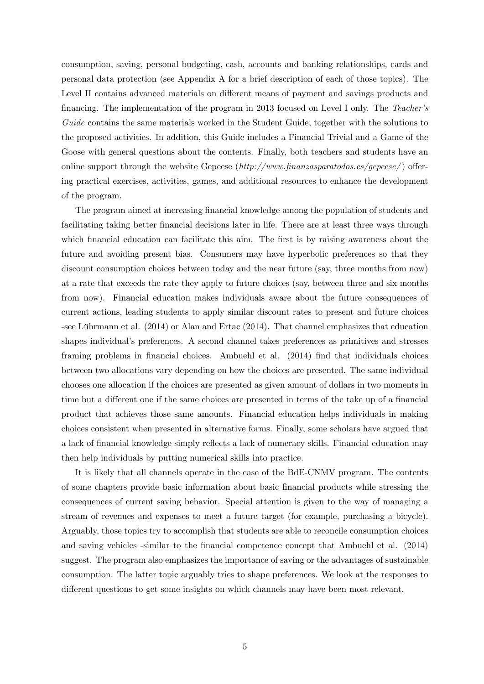consumption, saving, personal budgeting, cash, accounts and banking relationships, cards and personal data protection (see Appendix [A](#page-45-0) for a brief description of each of those topics). The Level II contains advanced materials on different means of payment and savings products and financing. The implementation of the program in 2013 focused on Level I only. The Teacher's Guide contains the same materials worked in the Student Guide, together with the solutions to the proposed activities. In addition, this Guide includes a Financial Trivial and a Game of the Goose with general questions about the contents. Finally, both teachers and students have an online support through the website Gepeese  $(http://www.finanzasparatodos.es/gepeese/$  offering practical exercises, activities, games, and additional resources to enhance the development of the program.

The program aimed at increasing financial knowledge among the population of students and facilitating taking better financial decisions later in life. There are at least three ways through which financial education can facilitate this aim. The first is by raising awareness about the future and avoiding present bias. Consumers may have hyperbolic preferences so that they discount consumption choices between today and the near future (say, three months from now) at a rate that exceeds the rate they apply to future choices (say, between three and six months from now). Financial education makes individuals aware about the future consequences of current actions, leading students to apply similar discount rates to present and future choices -see Lührmann et al.  $(2014)$  or Alan and Ertac  $(2014)$ . That channel emphasizes that education shapes individualís preferences. A second channel takes preferences as primitives and stresses framing problems in financial choices. Ambuehl et al. (2014) find that individuals choices between two allocations vary depending on how the choices are presented. The same individual chooses one allocation if the choices are presented as given amount of dollars in two moments in time but a different one if the same choices are presented in terms of the take up of a financial product that achieves those same amounts. Financial education helps individuals in making choices consistent when presented in alternative forms. Finally, some scholars have argued that a lack of financial knowledge simply reflects a lack of numeracy skills. Financial education may then help individuals by putting numerical skills into practice.

It is likely that all channels operate in the case of the BdE-CNMV program. The contents of some chapters provide basic information about basic Önancial products while stressing the consequences of current saving behavior. Special attention is given to the way of managing a stream of revenues and expenses to meet a future target (for example, purchasing a bicycle). Arguably, those topics try to accomplish that students are able to reconcile consumption choices and saving vehicles -similar to the financial competence concept that Ambuehl et al. (2014) suggest. The program also emphasizes the importance of saving or the advantages of sustainable consumption. The latter topic arguably tries to shape preferences. We look at the responses to different questions to get some insights on which channels may have been most relevant.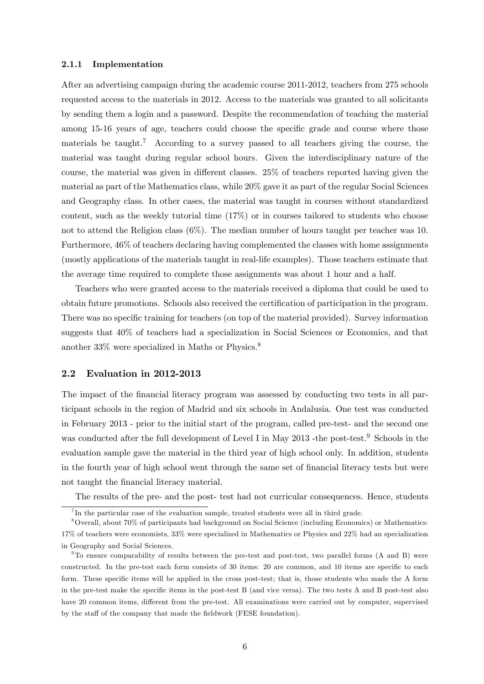#### 2.1.1 Implementation

After an advertising campaign during the academic course 2011-2012, teachers from 275 schools requested access to the materials in 2012. Access to the materials was granted to all solicitants by sending them a login and a password. Despite the recommendation of teaching the material among 15-16 years of age, teachers could choose the specific grade and course where those materials be taught.<sup>[7](#page-8-0)</sup> According to a survey passed to all teachers giving the course, the material was taught during regular school hours. Given the interdisciplinary nature of the course, the material was given in different classes.  $25\%$  of teachers reported having given the material as part of the Mathematics class, while 20% gave it as part of the regular Social Sciences and Geography class. In other cases, the material was taught in courses without standardized content, such as the weekly tutorial time (17%) or in courses tailored to students who choose not to attend the Religion class (6%). The median number of hours taught per teacher was 10. Furthermore, 46% of teachers declaring having complemented the classes with home assignments (mostly applications of the materials taught in real-life examples). Those teachers estimate that the average time required to complete those assignments was about 1 hour and a half.

Teachers who were granted access to the materials received a diploma that could be used to obtain future promotions. Schools also received the certification of participation in the program. There was no specific training for teachers (on top of the material provided). Survey information suggests that 40% of teachers had a specialization in Social Sciences or Economics, and that another 33% were specialized in Maths or Physics.[8](#page-8-1)

#### 2.2 Evaluation in 2012-2013

The impact of the financial literacy program was assessed by conducting two tests in all participant schools in the region of Madrid and six schools in Andalusia. One test was conducted in February 2013 - prior to the initial start of the program, called pre-test- and the second one was conducted after the full development of Level I in May 2013 -the post-test.<sup>[9](#page-8-2)</sup> Schools in the evaluation sample gave the material in the third year of high school only. In addition, students in the fourth year of high school went through the same set of financial literacy tests but were not taught the financial literacy material.

The results of the pre- and the post- test had not curricular consequences. Hence, students

<span id="page-8-1"></span><span id="page-8-0"></span><sup>&</sup>lt;sup>7</sup>In the particular case of the evaluation sample, treated students were all in third grade.

<sup>8</sup>Overall, about 70% of participants had background on Social Science (including Economics) or Mathematics: 17% of teachers were economists, 33% were specialized in Mathematics or Physics and 22% had an specialization in Geography and Social Sciences.

<span id="page-8-2"></span><sup>&</sup>lt;sup>9</sup>To ensure comparability of results between the pre-test and post-test, two parallel forms (A and B) were constructed. In the pre-test each form consists of 30 items: 20 are common, and 10 items are specific to each form. These specific items will be applied in the cross post-test; that is, those students who made the A form in the pre-test make the specific items in the post-test B (and vice versa). The two tests A and B post-test also have 20 common items, different from the pre-test. All examinations were carried out by computer, supervised by the staff of the company that made the fieldwork (FESE foundation).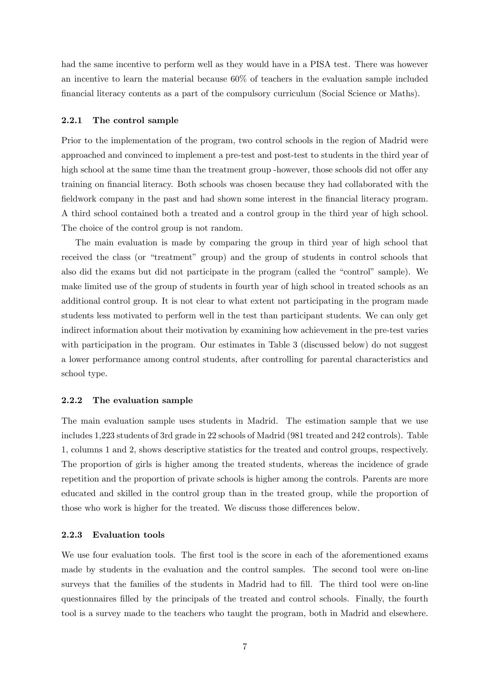had the same incentive to perform well as they would have in a PISA test. There was however an incentive to learn the material because 60% of teachers in the evaluation sample included Önancial literacy contents as a part of the compulsory curriculum (Social Science or Maths).

#### 2.2.1 The control sample

Prior to the implementation of the program, two control schools in the region of Madrid were approached and convinced to implement a pre-test and post-test to students in the third year of high school at the same time than the treatment group -however, those schools did not offer any training on financial literacy. Both schools was chosen because they had collaborated with the fieldwork company in the past and had shown some interest in the financial literacy program. A third school contained both a treated and a control group in the third year of high school. The choice of the control group is not random.

The main evaluation is made by comparing the group in third year of high school that received the class (or "treatment" group) and the group of students in control schools that also did the exams but did not participate in the program (called the "control" sample). We make limited use of the group of students in fourth year of high school in treated schools as an additional control group. It is not clear to what extent not participating in the program made students less motivated to perform well in the test than participant students. We can only get indirect information about their motivation by examining how achievement in the pre-test varies with participation in the program. Our estimates in Table [3](#page-33-0) (discussed below) do not suggest a lower performance among control students, after controlling for parental characteristics and school type.

#### 2.2.2 The evaluation sample

The main evaluation sample uses students in Madrid. The estimation sample that we use includes 1,223 students of 3rd grade in 22 schools of Madrid (981 treated and 242 controls). Table [1,](#page-31-0) columns 1 and 2, shows descriptive statistics for the treated and control groups, respectively. The proportion of girls is higher among the treated students, whereas the incidence of grade repetition and the proportion of private schools is higher among the controls. Parents are more educated and skilled in the control group than in the treated group, while the proportion of those who work is higher for the treated. We discuss those differences below.

#### 2.2.3 Evaluation tools

We use four evaluation tools. The first tool is the score in each of the aforementioned exams made by students in the evaluation and the control samples. The second tool were on-line surveys that the families of the students in Madrid had to fill. The third tool were on-line questionnaires filled by the principals of the treated and control schools. Finally, the fourth tool is a survey made to the teachers who taught the program, both in Madrid and elsewhere.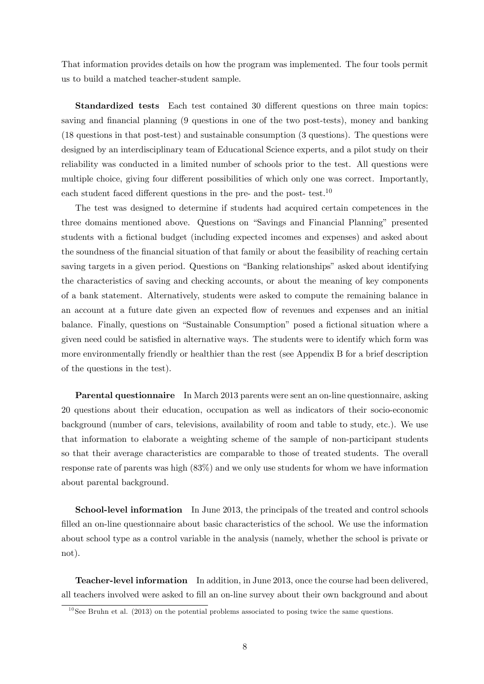That information provides details on how the program was implemented. The four tools permit us to build a matched teacher-student sample.

**Standardized tests** Each test contained 30 different questions on three main topics: saving and financial planning (9 questions in one of the two post-tests), money and banking (18 questions in that post-test) and sustainable consumption (3 questions). The questions were designed by an interdisciplinary team of Educational Science experts, and a pilot study on their reliability was conducted in a limited number of schools prior to the test. All questions were multiple choice, giving four different possibilities of which only one was correct. Importantly, each student faced different questions in the pre- and the post- test.<sup>[10](#page-10-0)</sup>

The test was designed to determine if students had acquired certain competences in the three domains mentioned above. Questions on "Savings and Financial Planning" presented students with a fictional budget (including expected incomes and expenses) and asked about the soundness of the financial situation of that family or about the feasibility of reaching certain saving targets in a given period. Questions on "Banking relationships" asked about identifying the characteristics of saving and checking accounts, or about the meaning of key components of a bank statement. Alternatively, students were asked to compute the remaining balance in an account at a future date given an expected áow of revenues and expenses and an initial balance. Finally, questions on "Sustainable Consumption" posed a fictional situation where a given need could be satisfied in alternative ways. The students were to identify which form was more environmentally friendly or healthier than the rest (see Appendix [B](#page-45-1) for a brief description of the questions in the test).

Parental questionnaire In March 2013 parents were sent an on-line questionnaire, asking 20 questions about their education, occupation as well as indicators of their socio-economic background (number of cars, televisions, availability of room and table to study, etc.). We use that information to elaborate a weighting scheme of the sample of non-participant students so that their average characteristics are comparable to those of treated students. The overall response rate of parents was high (83%) and we only use students for whom we have information about parental background.

School-level information In June 2013, the principals of the treated and control schools filled an on-line questionnaire about basic characteristics of the school. We use the information about school type as a control variable in the analysis (namely, whether the school is private or not).

Teacher-level information In addition, in June 2013, once the course had been delivered, all teachers involved were asked to fill an on-line survey about their own background and about

<span id="page-10-0"></span> $10$ See Bruhn et al. (2013) on the potential problems associated to posing twice the same questions.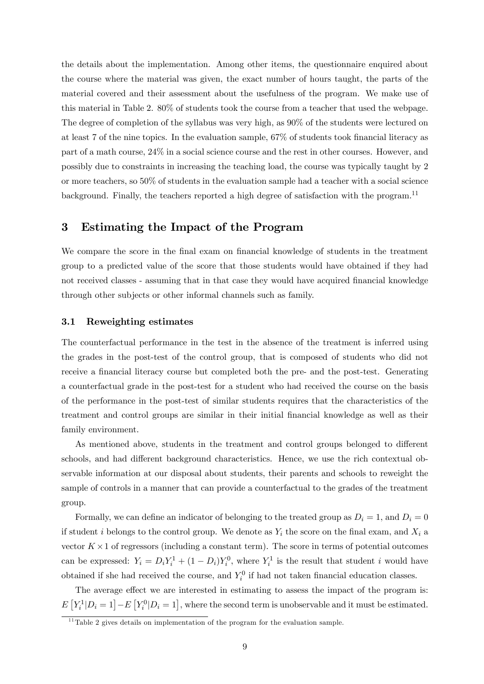the details about the implementation. Among other items, the questionnaire enquired about the course where the material was given, the exact number of hours taught, the parts of the material covered and their assessment about the usefulness of the program. We make use of this material in Table [2.](#page-32-0) 80% of students took the course from a teacher that used the webpage. The degree of completion of the syllabus was very high, as 90% of the students were lectured on at least 7 of the nine topics. In the evaluation sample,  $67\%$  of students took financial literacy as part of a math course, 24% in a social science course and the rest in other courses. However, and possibly due to constraints in increasing the teaching load, the course was typically taught by 2 or more teachers, so 50% of students in the evaluation sample had a teacher with a social science background. Finally, the teachers reported a high degree of satisfaction with the program.<sup>[11](#page-11-1)</sup>

## <span id="page-11-0"></span>3 Estimating the Impact of the Program

We compare the score in the final exam on financial knowledge of students in the treatment group to a predicted value of the score that those students would have obtained if they had not received classes - assuming that in that case they would have acquired financial knowledge through other subjects or other informal channels such as family.

#### 3.1 Reweighting estimates

The counterfactual performance in the test in the absence of the treatment is inferred using the grades in the post-test of the control group, that is composed of students who did not receive a financial literacy course but completed both the pre- and the post-test. Generating a counterfactual grade in the post-test for a student who had received the course on the basis of the performance in the post-test of similar students requires that the characteristics of the treatment and control groups are similar in their initial Önancial knowledge as well as their family environment.

As mentioned above, students in the treatment and control groups belonged to different schools, and had different background characteristics. Hence, we use the rich contextual observable information at our disposal about students, their parents and schools to reweight the sample of controls in a manner that can provide a counterfactual to the grades of the treatment group.

Formally, we can define an indicator of belonging to the treated group as  $D_i = 1$ , and  $D_i = 0$ if student i belongs to the control group. We denote as  $Y_i$  the score on the final exam, and  $X_i$  a vector  $K \times 1$  of regressors (including a constant term). The score in terms of potential outcomes can be expressed:  $Y_i = D_i Y_i^1 + (1 - D_i) Y_i^0$ , where  $Y_i^1$  is the result that student i would have obtained if she had received the course, and  $Y_i^0$  if had not taken financial education classes.

The average effect we are interested in estimating to assess the impact of the program is:  $E[Y_i^1|D_i=1]-E[Y_i^0|D_i=1]$ , where the second term is unobservable and it must be estimated.

<span id="page-11-1"></span><sup>&</sup>lt;sup>11</sup>Table [2](#page-32-0) gives details on implementation of the program for the evaluation sample.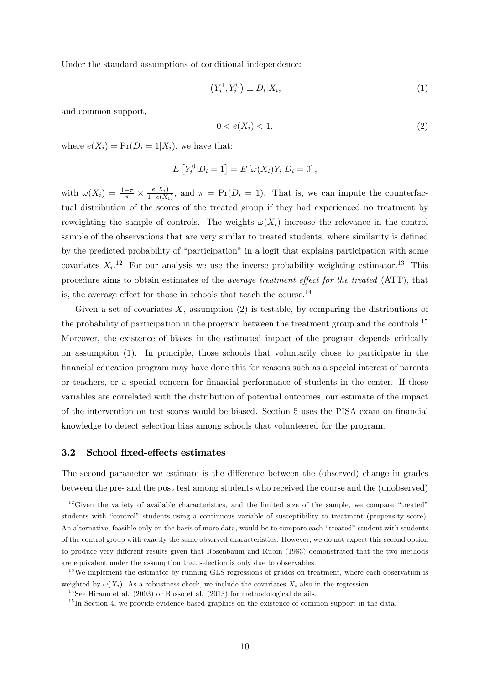Under the standard assumptions of conditional independence:

<span id="page-12-5"></span>
$$
(Y_i^1, Y_i^0) \perp D_i | X_i,\tag{1}
$$

and common support,

<span id="page-12-3"></span>
$$
0 < e(X_i) < 1,\tag{2}
$$

where  $e(X_i) = Pr(D_i = 1 | X_i)$ , we have that:

$$
E[Y_i^0|D_i=1]=E[\omega(X_i)Y_i|D_i=0],
$$

with  $\omega(X_i) = \frac{1-\pi}{\pi} \times \frac{e(X_i)}{1-e(X_i)}$  $\frac{e(A_i)}{1-e(X_i)}$ , and  $\pi = \Pr(D_i = 1)$ . That is, we can impute the counterfactual distribution of the scores of the treated group if they had experienced no treatment by reweighting the sample of controls. The weights  $\omega(X_i)$  increase the relevance in the control sample of the observations that are very similar to treated students, where similarity is defined by the predicted probability of "participation" in a logit that explains participation with some covariates  $X_i$ <sup>[12](#page-12-0)</sup> For our analysis we use the inverse probability weighting estimator.<sup>[13](#page-12-1)</sup> This procedure aims to obtain estimates of the *average treatment effect for the treated* (ATT), that is, the average effect for those in schools that teach the course.<sup>[14](#page-12-2)</sup>

Given a set of covariates  $X$ , assumption [\(2\)](#page-12-3) is testable, by comparing the distributions of the probability of participation in the program between the treatment group and the controls.<sup>[15](#page-12-4)</sup> Moreover, the existence of biases in the estimated impact of the program depends critically on assumption [\(1\)](#page-12-5). In principle, those schools that voluntarily chose to participate in the Önancial education program may have done this for reasons such as a special interest of parents or teachers, or a special concern for financial performance of students in the center. If these variables are correlated with the distribution of potential outcomes, our estimate of the impact of the intervention on test scores would be biased. Section [5](#page-20-0) uses the PISA exam on Önancial knowledge to detect selection bias among schools that volunteered for the program.

#### 3.2 School fixed-effects estimates

The second parameter we estimate is the difference between the (observed) change in grades between the pre- and the post test among students who received the course and the (unobserved)

<span id="page-12-0"></span> $12$  Given the variety of available characteristics, and the limited size of the sample, we compare "treated" students with "control" students using a continuous variable of susceptibility to treatment (propensity score). An alternative, feasible only on the basis of more data, would be to compare each "treated" student with students of the control group with exactly the same observed characteristics. However, we do not expect this second option to produce very different results given that Rosenbaum and Rubin (1983) demonstrated that the two methods are equivalent under the assumption that selection is only due to observables.

<span id="page-12-1"></span><sup>&</sup>lt;sup>13</sup>We implement the estimator by running GLS regressions of grades on treatment, where each observation is weighted by  $\omega(X_i)$ . As a robustness check, we include the covariates  $X_i$  also in the regression.

<span id="page-12-2"></span> $14$ See Hirano et al. (2003) or Busso et al. (2013) for methodological details.

<span id="page-12-4"></span> $15$  In Section [4,](#page-13-0) we provide evidence-based graphics on the existence of common support in the data.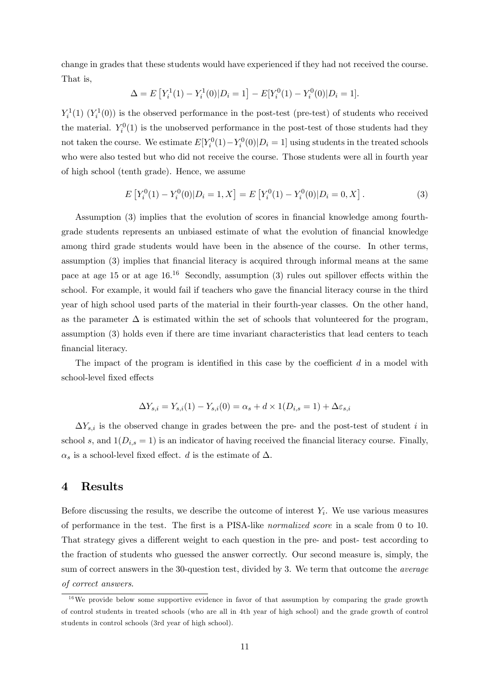change in grades that these students would have experienced if they had not received the course. That is,

$$
\Delta = E[Y_i^1(1) - Y_i^1(0)|D_i = 1] - E[Y_i^0(1) - Y_i^0(0)|D_i = 1].
$$

 $Y_i^1(1)$   $(Y_i^1(0))$  is the observed performance in the post-test (pre-test) of students who received the material.  $Y_i^0(1)$  is the unobserved performance in the post-test of those students had they not taken the course. We estimate  $E[Y_i^0(1) - Y_i^0(0) | D_i = 1]$  using students in the treated schools who were also tested but who did not receive the course. Those students were all in fourth year of high school (tenth grade). Hence, we assume

<span id="page-13-1"></span>
$$
E[Y_i^0(1) - Y_i^0(0)|D_i = 1, X] = E[Y_i^0(1) - Y_i^0(0)|D_i = 0, X].
$$
\n(3)

Assumption [\(3\)](#page-13-1) implies that the evolution of scores in financial knowledge among fourthgrade students represents an unbiased estimate of what the evolution of financial knowledge among third grade students would have been in the absence of the course. In other terms, assumption [\(3\)](#page-13-1) implies that financial literacy is acquired through informal means at the same pace at age 15 or at age  $16^{16}$  $16^{16}$  Secondly, assumption [\(3\)](#page-13-1) rules out spillover effects within the school. For example, it would fail if teachers who gave the financial literacy course in the third year of high school used parts of the material in their fourth-year classes. On the other hand, as the parameter  $\Delta$  is estimated within the set of schools that volunteered for the program, assumption [\(3\)](#page-13-1) holds even if there are time invariant characteristics that lead centers to teach financial literacy.

The impact of the program is identified in this case by the coefficient  $d$  in a model with school-level fixed effects

$$
\Delta Y_{s,i} = Y_{s,i}(1) - Y_{s,i}(0) = \alpha_s + d \times 1(D_{i,s} = 1) + \Delta \varepsilon_{s,i}
$$

 $\Delta Y_{s,i}$  is the observed change in grades between the pre- and the post-test of student i in school s, and  $1(D_{i,s} = 1)$  is an indicator of having received the financial literacy course. Finally,  $\alpha_s$  is a school-level fixed effect. d is the estimate of  $\Delta$ .

### <span id="page-13-0"></span>4 Results

Before discussing the results, we describe the outcome of interest  $Y_i$ . We use various measures of performance in the test. The Örst is a PISA-like normalized score in a scale from 0 to 10. That strategy gives a different weight to each question in the pre- and post- test according to the fraction of students who guessed the answer correctly. Our second measure is, simply, the sum of correct answers in the 30-question test, divided by 3. We term that outcome the *average* of correct answers.

<span id="page-13-2"></span><sup>&</sup>lt;sup>16</sup>We provide below some supportive evidence in favor of that assumption by comparing the grade growth of control students in treated schools (who are all in 4th year of high school) and the grade growth of control students in control schools (3rd year of high school).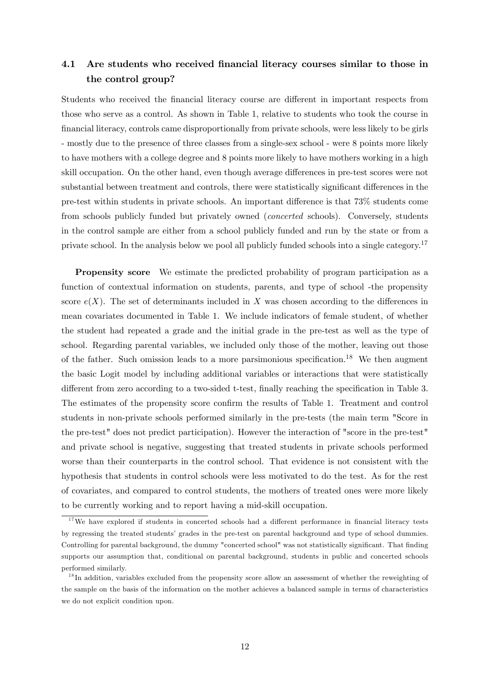## 4.1 Are students who received financial literacy courses similar to those in the control group?

Students who received the financial literacy course are different in important respects from those who serve as a control. As shown in Table [1,](#page-31-0) relative to students who took the course in financial literacy, controls came disproportionally from private schools, were less likely to be girls - mostly due to the presence of three classes from a single-sex school - were 8 points more likely to have mothers with a college degree and 8 points more likely to have mothers working in a high skill occupation. On the other hand, even though average differences in pre-test scores were not substantial between treatment and controls, there were statistically significant differences in the pre-test within students in private schools. An important difference is that  $73\%$  students come from schools publicly funded but privately owned (concerted schools). Conversely, students in the control sample are either from a school publicly funded and run by the state or from a private school. In the analysis below we pool all publicly funded schools into a single category.[17](#page-14-0)

Propensity score We estimate the predicted probability of program participation as a function of contextual information on students, parents, and type of school -the propensity score  $e(X)$ . The set of determinants included in X was chosen according to the differences in mean covariates documented in Table [1.](#page-31-0) We include indicators of female student, of whether the student had repeated a grade and the initial grade in the pre-test as well as the type of school. Regarding parental variables, we included only those of the mother, leaving out those of the father. Such omission leads to a more parsimonious specification.<sup>[18](#page-14-1)</sup> We then augment the basic Logit model by including additional variables or interactions that were statistically different from zero according to a two-sided t-test, finally reaching the specification in Table [3.](#page-33-0) The estimates of the propensity score confirm the results of Table 1. Treatment and control students in non-private schools performed similarly in the pre-tests (the main term "Score in the pre-test" does not predict participation). However the interaction of "score in the pre-test" and private school is negative, suggesting that treated students in private schools performed worse than their counterparts in the control school. That evidence is not consistent with the hypothesis that students in control schools were less motivated to do the test. As for the rest of covariates, and compared to control students, the mothers of treated ones were more likely to be currently working and to report having a mid-skill occupation.

<span id="page-14-0"></span> $17$ We have explored if students in concerted schools had a different performance in financial literacy tests by regressing the treated studentsígrades in the pre-test on parental background and type of school dummies. Controlling for parental background, the dummy "concerted school" was not statistically significant. That finding supports our assumption that, conditional on parental background, students in public and concerted schools performed similarly.

<span id="page-14-1"></span><sup>&</sup>lt;sup>18</sup>In addition, variables excluded from the propensity score allow an assessment of whether the reweighting of the sample on the basis of the information on the mother achieves a balanced sample in terms of characteristics we do not explicit condition upon.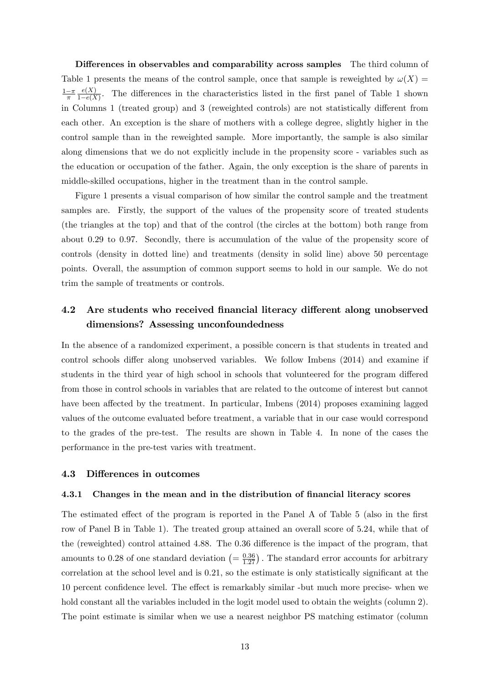Differences in observables and comparability across samples The third column of Table [1](#page-31-0) presents the means of the control sample, once that sample is reweighted by  $\omega(X)$  $rac{1-\pi}{\pi}$  $e(X)$  $\frac{e(X)}{1-e(X)}$  $\frac{e(X)}{1-e(X)}$  $\frac{e(X)}{1-e(X)}$ . The differences in the characteristics listed in the first panel of Table 1 shown in Columns 1 (treated group) and 3 (reweighted controls) are not statistically different from each other. An exception is the share of mothers with a college degree, slightly higher in the control sample than in the reweighted sample. More importantly, the sample is also similar along dimensions that we do not explicitly include in the propensity score - variables such as the education or occupation of the father. Again, the only exception is the share of parents in middle-skilled occupations, higher in the treatment than in the control sample.

Figure [1](#page-40-0) presents a visual comparison of how similar the control sample and the treatment samples are. Firstly, the support of the values of the propensity score of treated students (the triangles at the top) and that of the control (the circles at the bottom) both range from about 0.29 to 0.97. Secondly, there is accumulation of the value of the propensity score of controls (density in dotted line) and treatments (density in solid line) above 50 percentage points. Overall, the assumption of common support seems to hold in our sample. We do not trim the sample of treatments or controls.

## 4.2 Are students who received financial literacy different along unobserved dimensions? Assessing unconfoundedness

In the absence of a randomized experiment, a possible concern is that students in treated and control schools differ along unobserved variables. We follow Imbens  $(2014)$  and examine if students in the third year of high school in schools that volunteered for the program differed from those in control schools in variables that are related to the outcome of interest but cannot have been affected by the treatment. In particular, Imbens (2014) proposes examining lagged values of the outcome evaluated before treatment, a variable that in our case would correspond to the grades of the pre-test. The results are shown in Table [4.](#page-34-0) In none of the cases the performance in the pre-test varies with treatment.

#### 4.3 Differences in outcomes

#### 4.3.1 Changes in the mean and in the distribution of financial literacy scores

The estimated effect of the program is reported in the Panel A of Table [5](#page-34-1) (also in the first row of Panel B in Table [1\)](#page-31-0). The treated group attained an overall score of 5.24, while that of the (reweighted) control attained 4.88. The 0.36 difference is the impact of the program, that amounts to 0.28 of one standard deviation  $\left(=\frac{0.36}{1.27}\right)$ . The standard error accounts for arbitrary correlation at the school level and is  $0.21$ , so the estimate is only statistically significant at the 10 percent confidence level. The effect is remarkably similar -but much more precise- when we hold constant all the variables included in the logit model used to obtain the weights (column 2). The point estimate is similar when we use a nearest neighbor PS matching estimator (column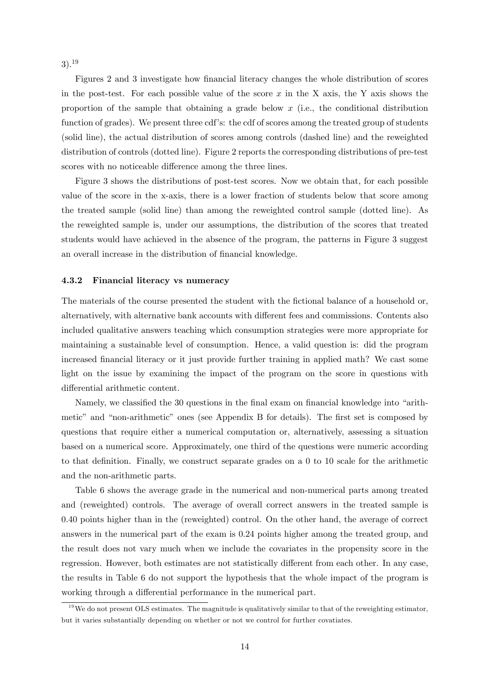3).[19](#page-16-0)

Figures [2](#page-41-0) and [3](#page-42-0) investigate how financial literacy changes the whole distribution of scores in the post-test. For each possible value of the score  $x$  in the X axis, the Y axis shows the proportion of the sample that obtaining a grade below  $x$  (i.e., the conditional distribution function of grades). We present three cdf's: the cdf of scores among the treated group of students (solid line), the actual distribution of scores among controls (dashed line) and the reweighted distribution of controls (dotted line). Figure [2](#page-41-0) reports the corresponding distributions of pre-test scores with no noticeable difference among the three lines.

Figure [3](#page-42-0) shows the distributions of post-test scores. Now we obtain that, for each possible value of the score in the x-axis, there is a lower fraction of students below that score among the treated sample (solid line) than among the reweighted control sample (dotted line). As the reweighted sample is, under our assumptions, the distribution of the scores that treated students would have achieved in the absence of the program, the patterns in Figure [3](#page-42-0) suggest an overall increase in the distribution of financial knowledge.

#### 4.3.2 Financial literacy vs numeracy

The materials of the course presented the student with the fictional balance of a household or, alternatively, with alternative bank accounts with different fees and commissions. Contents also included qualitative answers teaching which consumption strategies were more appropriate for maintaining a sustainable level of consumption. Hence, a valid question is: did the program increased financial literacy or it just provide further training in applied math? We cast some light on the issue by examining the impact of the program on the score in questions with differential arithmetic content.

Namely, we classified the 30 questions in the final exam on financial knowledge into "arith-metic" and "non-arithmetic" ones (see Appendix [B](#page-45-1) for details). The first set is composed by questions that require either a numerical computation or, alternatively, assessing a situation based on a numerical score. Approximately, one third of the questions were numeric according to that definition. Finally, we construct separate grades on a  $0$  to  $10$  scale for the arithmetic and the non-arithmetic parts.

Table [6](#page-35-0) shows the average grade in the numerical and non-numerical parts among treated and (reweighted) controls. The average of overall correct answers in the treated sample is 0.40 points higher than in the (reweighted) control. On the other hand, the average of correct answers in the numerical part of the exam is 0.24 points higher among the treated group, and the result does not vary much when we include the covariates in the propensity score in the regression. However, both estimates are not statistically different from each other. In any case, the results in Table [6](#page-35-0) do not support the hypothesis that the whole impact of the program is working through a differential performance in the numerical part.

<span id="page-16-0"></span><sup>&</sup>lt;sup>19</sup>We do not present OLS estimates. The magnitude is qualitatively similar to that of the reweighting estimator, but it varies substantially depending on whether or not we control for further covatiates.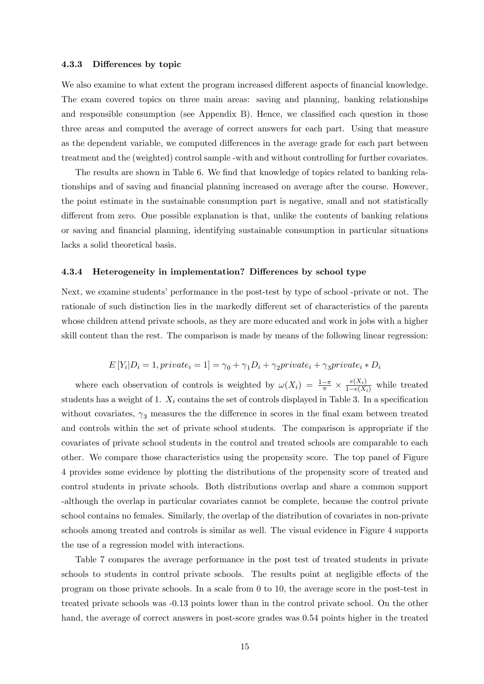#### 4.3.3 Differences by topic

We also examine to what extent the program increased different aspects of financial knowledge. The exam covered topics on three main areas: saving and planning, banking relationships and responsible consumption (see Appendix [B\)](#page-45-1). Hence, we classified each question in those three areas and computed the average of correct answers for each part. Using that measure as the dependent variable, we computed differences in the average grade for each part between treatment and the (weighted) control sample -with and without controlling for further covariates.

The results are shown in Table [6.](#page-35-0) We find that knowledge of topics related to banking relationships and of saving and Önancial planning increased on average after the course. However, the point estimate in the sustainable consumption part is negative, small and not statistically different from zero. One possible explanation is that, unlike the contents of banking relations or saving and Önancial planning, identifying sustainable consumption in particular situations lacks a solid theoretical basis.

#### 4.3.4 Heterogeneity in implementation? Differences by school type

Next, we examine students' performance in the post-test by type of school -private or not. The rationale of such distinction lies in the markedly different set of characteristics of the parents whose children attend private schools, as they are more educated and work in jobs with a higher skill content than the rest. The comparison is made by means of the following linear regression:

$$
E[Y_i|D_i=1, private_i=1] = \gamma_0 + \gamma_1 D_i + \gamma_2 private_i + \gamma_3 private_i * D_i
$$

where each observation of controls is weighted by  $\omega(X_i) = \frac{1-\pi}{\pi} \times \frac{e(X_i)}{1-e(X_i)}$  while treated students has a weight of 1.  $X_i$  contains the set of controls displayed in Table [3.](#page-33-0) In a specification without covariates,  $\gamma_3$  measures the the difference in scores in the final exam between treated and controls within the set of private school students. The comparison is appropriate if the covariates of private school students in the control and treated schools are comparable to each other. We compare those characteristics using the propensity score. The top panel of Figure [4](#page-43-0) provides some evidence by plotting the distributions of the propensity score of treated and control students in private schools. Both distributions overlap and share a common support -although the overlap in particular covariates cannot be complete, because the control private school contains no females. Similarly, the overlap of the distribution of covariates in non-private schools among treated and controls is similar as well. The visual evidence in Figure [4](#page-43-0) supports the use of a regression model with interactions.

Table [7](#page-35-1) compares the average performance in the post test of treated students in private schools to students in control private schools. The results point at negligible effects of the program on those private schools. In a scale from 0 to 10, the average score in the post-test in treated private schools was -0.13 points lower than in the control private school. On the other hand, the average of correct answers in post-score grades was 0.54 points higher in the treated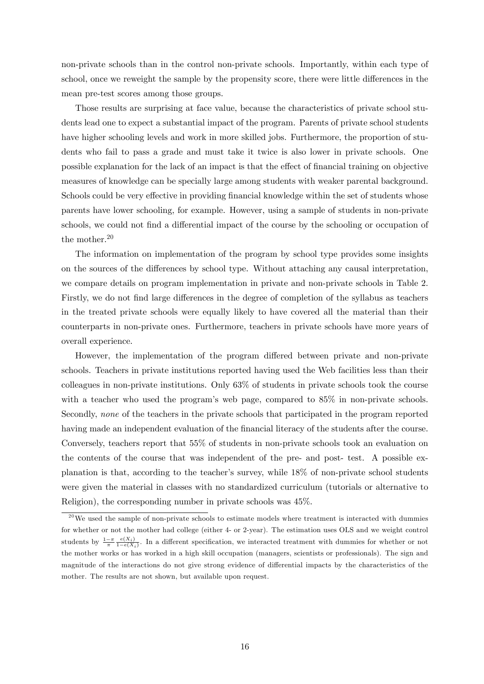non-private schools than in the control non-private schools. Importantly, within each type of school, once we reweight the sample by the propensity score, there were little differences in the mean pre-test scores among those groups.

Those results are surprising at face value, because the characteristics of private school students lead one to expect a substantial impact of the program. Parents of private school students have higher schooling levels and work in more skilled jobs. Furthermore, the proportion of students who fail to pass a grade and must take it twice is also lower in private schools. One possible explanation for the lack of an impact is that the effect of financial training on objective measures of knowledge can be specially large among students with weaker parental background. Schools could be very effective in providing financial knowledge within the set of students whose parents have lower schooling, for example. However, using a sample of students in non-private schools, we could not find a differential impact of the course by the schooling or occupation of the mother.[20](#page-18-0)

The information on implementation of the program by school type provides some insights on the sources of the differences by school type. Without attaching any causal interpretation, we compare details on program implementation in private and non-private schools in Table [2.](#page-32-0) Firstly, we do not find large differences in the degree of completion of the syllabus as teachers in the treated private schools were equally likely to have covered all the material than their counterparts in non-private ones. Furthermore, teachers in private schools have more years of overall experience.

However, the implementation of the program differed between private and non-private schools. Teachers in private institutions reported having used the Web facilities less than their colleagues in non-private institutions. Only 63% of students in private schools took the course with a teacher who used the program's web page, compared to  $85\%$  in non-private schools. Secondly, none of the teachers in the private schools that participated in the program reported having made an independent evaluation of the financial literacy of the students after the course. Conversely, teachers report that 55% of students in non-private schools took an evaluation on the contents of the course that was independent of the pre- and post- test. A possible explanation is that, according to the teacherís survey, while 18% of non-private school students were given the material in classes with no standardized curriculum (tutorials or alternative to Religion), the corresponding number in private schools was 45%.

<span id="page-18-0"></span><sup>&</sup>lt;sup>20</sup>We used the sample of non-private schools to estimate models where treatment is interacted with dummies for whether or not the mother had college (either 4- or 2-year). The estimation uses OLS and we weight control students by  $\frac{1-\pi}{\pi} \frac{e(X_i)}{1-e(X_i)}$ . In a different specification, we interacted treatment with dummies for whether or not the mother works or has worked in a high skill occupation (managers, scientists or professionals). The sign and magnitude of the interactions do not give strong evidence of differential impacts by the characteristics of the mother. The results are not shown, but available upon request.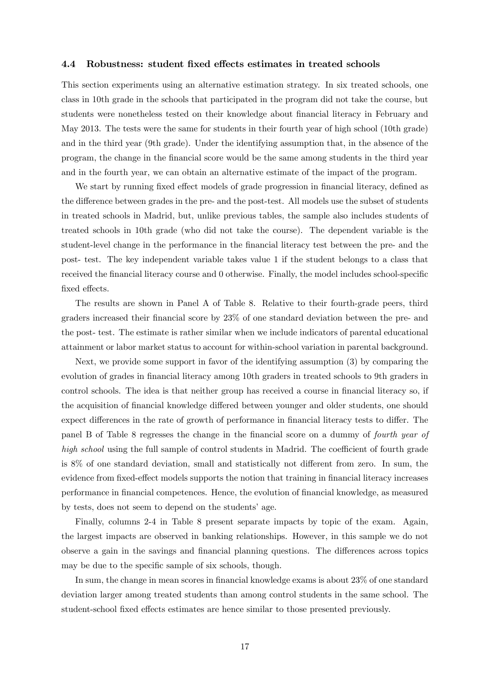#### 4.4 Robustness: student fixed effects estimates in treated schools

This section experiments using an alternative estimation strategy. In six treated schools, one class in 10th grade in the schools that participated in the program did not take the course, but students were nonetheless tested on their knowledge about financial literacy in February and May 2013. The tests were the same for students in their fourth year of high school (10th grade) and in the third year (9th grade). Under the identifying assumption that, in the absence of the program, the change in the financial score would be the same among students in the third year and in the fourth year, we can obtain an alternative estimate of the impact of the program.

We start by running fixed effect models of grade progression in financial literacy, defined as the difference between grades in the pre- and the post-test. All models use the subset of students in treated schools in Madrid, but, unlike previous tables, the sample also includes students of treated schools in 10th grade (who did not take the course). The dependent variable is the student-level change in the performance in the financial literacy test between the pre- and the post- test. The key independent variable takes value 1 if the student belongs to a class that received the financial literacy course and 0 otherwise. Finally, the model includes school-specific fixed effects.

The results are shown in Panel A of Table [8.](#page-36-0) Relative to their fourth-grade peers, third graders increased their Önancial score by 23% of one standard deviation between the pre- and the post- test. The estimate is rather similar when we include indicators of parental educational attainment or labor market status to account for within-school variation in parental background.

Next, we provide some support in favor of the identifying assumption [\(3\)](#page-13-1) by comparing the evolution of grades in financial literacy among 10th graders in treated schools to 9th graders in control schools. The idea is that neither group has received a course in financial literacy so, if the acquisition of financial knowledge differed between younger and older students, one should expect differences in the rate of growth of performance in financial literacy tests to differ. The panel B of Table [8](#page-36-0) regresses the change in the Önancial score on a dummy of fourth year of high school using the full sample of control students in Madrid. The coefficient of fourth grade is  $8\%$  of one standard deviation, small and statistically not different from zero. In sum, the evidence from fixed-effect models supports the notion that training in financial literacy increases performance in financial competences. Hence, the evolution of financial knowledge, as measured by tests, does not seem to depend on the students' age.

Finally, columns 2-4 in Table [8](#page-36-0) present separate impacts by topic of the exam. Again, the largest impacts are observed in banking relationships. However, in this sample we do not observe a gain in the savings and financial planning questions. The differences across topics may be due to the specific sample of six schools, though.

In sum, the change in mean scores in financial knowledge exams is about 23% of one standard deviation larger among treated students than among control students in the same school. The student-school fixed effects estimates are hence similar to those presented previously.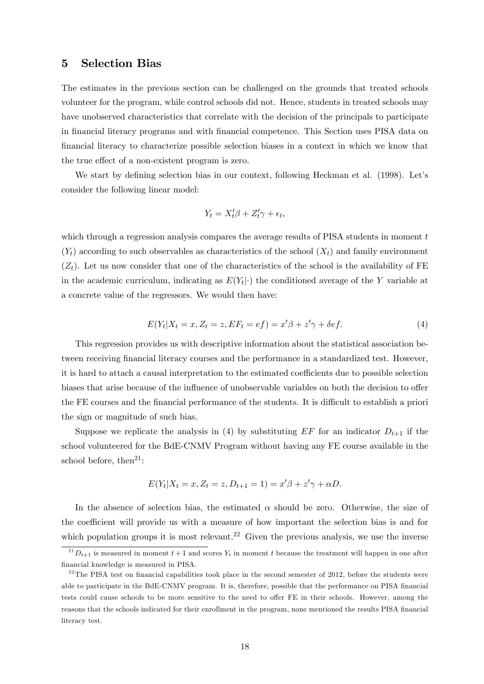### <span id="page-20-0"></span>5 Selection Bias

The estimates in the previous section can be challenged on the grounds that treated schools volunteer for the program, while control schools did not. Hence, students in treated schools may have unobserved characteristics that correlate with the decision of the principals to participate in financial literacy programs and with financial competence. This Section uses PISA data on Önancial literacy to characterize possible selection biases in a context in which we know that the true effect of a non-existent program is zero.

We start by defining selection bias in our context, following Heckman et al. (1998). Let's consider the following linear model:

$$
Y_t = X_t'\beta + Z_t'\gamma + \epsilon_t,
$$

which through a regression analysis compares the average results of PISA students in moment  $t$  $(Y_t)$  according to such observables as characteristics of the school  $(X_t)$  and family environment  $(Z<sub>t</sub>)$ . Let us now consider that one of the characteristics of the school is the availability of FE in the academic curriculum, indicating as  $E(Y_t|\cdot)$  the conditioned average of the Y variable at a concrete value of the regressors. We would then have:

<span id="page-20-1"></span>
$$
E(Yt|Xt = x, Zt = z, EFt = ef) = x'\beta + z'\gamma + \delta ef.
$$
\n(4)

This regression provides us with descriptive information about the statistical association between receiving financial literacy courses and the performance in a standardized test. However, it is hard to attach a causal interpretation to the estimated coefficients due to possible selection biases that arise because of the influence of unobservable variables on both the decision to offer the FE courses and the financial performance of the students. It is difficult to establish a priori the sign or magnitude of such bias.

Suppose we replicate the analysis in [\(4\)](#page-20-1) by substituting  $EF$  for an indicator  $D_{t+1}$  if the school volunteered for the BdE-CNMV Program without having any FE course available in the school before, then $^{21}$  $^{21}$  $^{21}$ :

$$
E(Y_t|X_t = x, Z_t = z, D_{t+1} = 1) = x'\beta + z'\gamma + \alpha D.
$$

In the absence of selection bias, the estimated  $\alpha$  should be zero. Otherwise, the size of the coefficient will provide us with a measure of how important the selection bias is and for which population groups it is most relevant.<sup>[22](#page-20-3)</sup> Given the previous analysis, we use the inverse

<span id="page-20-2"></span><sup>&</sup>lt;sup>21</sup>D<sub>t+1</sub> is measured in moment t + 1 and scores  $Y_t$  in moment t because the treatment will happen in one after financial knowledge is measured in PISA.

<span id="page-20-3"></span><sup>&</sup>lt;sup>22</sup>The PISA test on financial capabilities took place in the second semester of 2012, before the students were able to participate in the BdE-CNMV program. It is, therefore, possible that the performance on PISA financial tests could cause schools to be more sensitive to the need to offer FE in their schools. However, among the reasons that the schools indicated for their enrollment in the program, none mentioned the results PISA financial literacy test.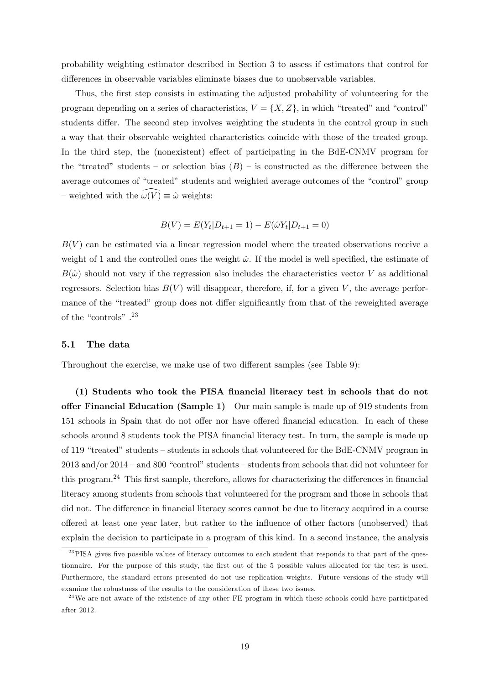probability weighting estimator described in Section [3](#page-11-0) to assess if estimators that control for differences in observable variables eliminate biases due to unobservable variables.

Thus, the first step consists in estimating the adjusted probability of volunteering for the program depending on a series of characteristics,  $V = \{X, Z\}$ , in which "treated" and "control" students differ. The second step involves weighting the students in the control group in such a way that their observable weighted characteristics coincide with those of the treated group. In the third step, the (nonexistent) effect of participating in the BdE-CNMV program for the "treated" students – or selection bias  $(B)$  – is constructed as the difference between the average outcomes of "treated" students and weighted average outcomes of the "control" group – weighted with the  $\widehat{\omega(V)} \equiv \widehat{\omega}$  weights:

$$
B(V) = E(Y_t|D_{t+1} = 1) - E(\hat{\omega}Y_t|D_{t+1} = 0)
$$

 $B(V)$  can be estimated via a linear regression model where the treated observations receive a weight of 1 and the controlled ones the weight  $\hat{\omega}$ . If the model is well specified, the estimate of  $B(\hat{\omega})$  should not vary if the regression also includes the characteristics vector V as additional regressors. Selection bias  $B(V)$  will disappear, therefore, if, for a given V, the average performance of the "treated" group does not differ significantly from that of the reweighted average of the "controls". $23$ 

#### 5.1 The data

Throughout the exercise, we make use of two different samples (see Table [9\)](#page-36-1):

(1) Students who took the PISA Önancial literacy test in schools that do not offer Financial Education (Sample 1) Our main sample is made up of 919 students from 151 schools in Spain that do not offer nor have offered financial education. In each of these schools around 8 students took the PISA financial literacy test. In turn, the sample is made up of 119 "treated" students – students in schools that volunteered for the BdE-CNMV program in  $2013$  and/or  $2014$  – and  $800$  "control" students – students from schools that did not volunteer for this program.<sup>[24](#page-21-1)</sup> This first sample, therefore, allows for characterizing the differences in financial literacy among students from schools that volunteered for the program and those in schools that did not. The difference in financial literacy scores cannot be due to literacy acquired in a course offered at least one year later, but rather to the influence of other factors (unobserved) that explain the decision to participate in a program of this kind. In a second instance, the analysis

<span id="page-21-0"></span><sup>&</sup>lt;sup>23</sup>PISA gives five possible values of literacy outcomes to each student that responds to that part of the questionnaire. For the purpose of this study, the first out of the 5 possible values allocated for the test is used. Furthermore, the standard errors presented do not use replication weights. Future versions of the study will examine the robustness of the results to the consideration of these two issues.

<span id="page-21-1"></span><sup>&</sup>lt;sup>24</sup>We are not aware of the existence of any other FE program in which these schools could have participated after 2012.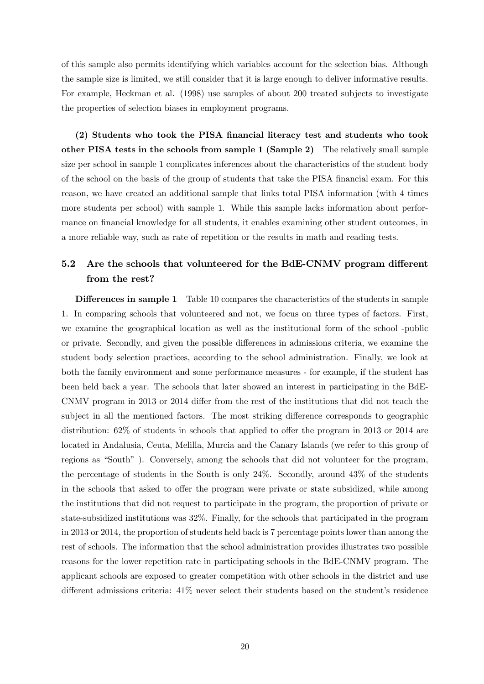of this sample also permits identifying which variables account for the selection bias. Although the sample size is limited, we still consider that it is large enough to deliver informative results. For example, Heckman et al. (1998) use samples of about 200 treated subjects to investigate the properties of selection biases in employment programs.

(2) Students who took the PISA Önancial literacy test and students who took other PISA tests in the schools from sample 1 (Sample 2) The relatively small sample size per school in sample 1 complicates inferences about the characteristics of the student body of the school on the basis of the group of students that take the PISA Önancial exam. For this reason, we have created an additional sample that links total PISA information (with 4 times more students per school) with sample 1. While this sample lacks information about performance on financial knowledge for all students, it enables examining other student outcomes, in a more reliable way, such as rate of repetition or the results in math and reading tests.

## 5.2 Are the schools that volunteered for the BdE-CNMV program different from the rest?

**Differences in sample 1** Table [10](#page-37-0) compares the characteristics of the students in sample 1. In comparing schools that volunteered and not, we focus on three types of factors. First, we examine the geographical location as well as the institutional form of the school -public or private. Secondly, and given the possible di§erences in admissions criteria, we examine the student body selection practices, according to the school administration. Finally, we look at both the family environment and some performance measures - for example, if the student has been held back a year. The schools that later showed an interest in participating in the BdE-CNMV program in 2013 or 2014 differ from the rest of the institutions that did not teach the subject in all the mentioned factors. The most striking difference corresponds to geographic distribution:  $62\%$  of students in schools that applied to offer the program in 2013 or 2014 are located in Andalusia, Ceuta, Melilla, Murcia and the Canary Islands (we refer to this group of regions as "South"). Conversely, among the schools that did not volunteer for the program, the percentage of students in the South is only 24%. Secondly, around 43% of the students in the schools that asked to offer the program were private or state subsidized, while among the institutions that did not request to participate in the program, the proportion of private or state-subsidized institutions was 32%. Finally, for the schools that participated in the program in 2013 or 2014, the proportion of students held back is 7 percentage points lower than among the rest of schools. The information that the school administration provides illustrates two possible reasons for the lower repetition rate in participating schools in the BdE-CNMV program. The applicant schools are exposed to greater competition with other schools in the district and use different admissions criteria:  $41\%$  never select their students based on the student's residence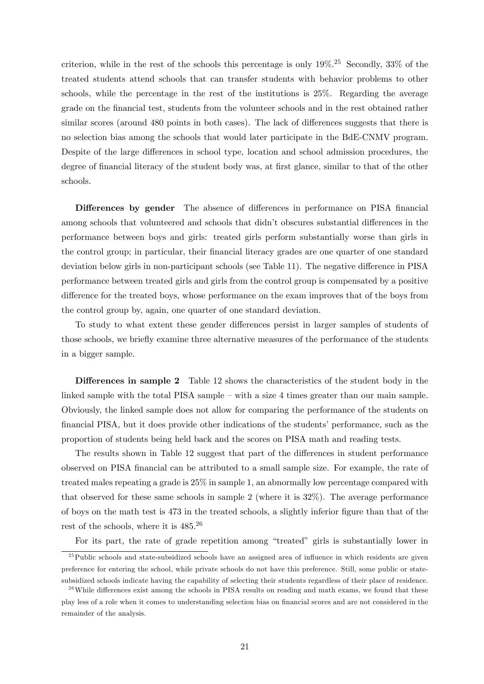criterion, while in the rest of the schools this percentage is only  $19\%$ .<sup>[25](#page-23-0)</sup> Secondly,  $33\%$  of the treated students attend schools that can transfer students with behavior problems to other schools, while the percentage in the rest of the institutions is 25%. Regarding the average grade on the Önancial test, students from the volunteer schools and in the rest obtained rather similar scores (around 480 points in both cases). The lack of differences suggests that there is no selection bias among the schools that would later participate in the BdE-CNMV program. Despite of the large differences in school type, location and school admission procedures, the degree of financial literacy of the student body was, at first glance, similar to that of the other schools.

Differences by gender The absence of differences in performance on PISA financial among schools that volunteered and schools that didn't obscures substantial differences in the performance between boys and girls: treated girls perform substantially worse than girls in the control group; in particular, their financial literacy grades are one quarter of one standard deviation below girls in non-participant schools (see Table [11\)](#page-38-0). The negative difference in PISA performance between treated girls and girls from the control group is compensated by a positive difference for the treated boys, whose performance on the exam improves that of the boys from the control group by, again, one quarter of one standard deviation.

To study to what extent these gender differences persist in larger samples of students of those schools, we briefly examine three alternative measures of the performance of the students in a bigger sample.

**Differences in sample 2** Table [12](#page-38-1) shows the characteristics of the student body in the linked sample with the total PISA sample  $-$  with a size 4 times greater than our main sample. Obviously, the linked sample does not allow for comparing the performance of the students on financial PISA, but it does provide other indications of the students' performance, such as the proportion of students being held back and the scores on PISA math and reading tests.

The results shown in Table [12](#page-38-1) suggest that part of the differences in student performance observed on PISA Önancial can be attributed to a small sample size. For example, the rate of treated males repeating a grade is 25% in sample 1, an abnormally low percentage compared with that observed for these same schools in sample 2 (where it is 32%). The average performance of boys on the math test is 473 in the treated schools, a slightly inferior Ögure than that of the rest of the schools, where it is 485.[26](#page-23-1)

<span id="page-23-0"></span>For its part, the rate of grade repetition among "treated" girls is substantially lower in

<sup>&</sup>lt;sup>25</sup>Public schools and state-subsidized schools have an assigned area of influence in which residents are given preference for entering the school, while private schools do not have this preference. Still, some public or statesubsidized schools indicate having the capability of selecting their students regardless of their place of residence.

<span id="page-23-1"></span> $26$ While differences exist among the schools in PISA results on reading and math exams, we found that these play less of a role when it comes to understanding selection bias on financial scores and are not considered in the remainder of the analysis.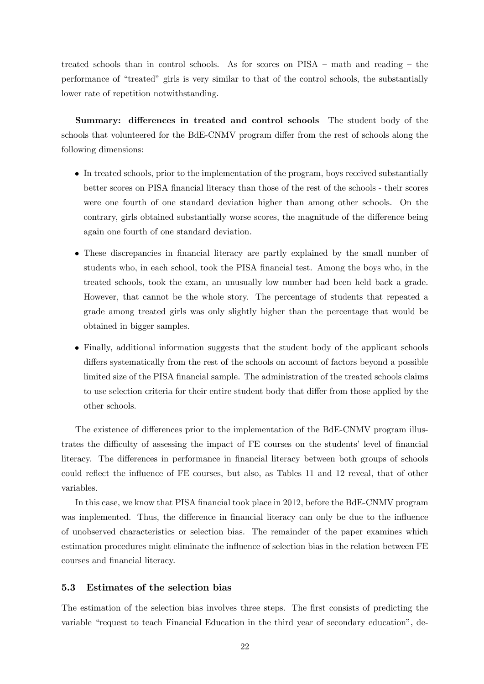treated schools than in control schools. As for scores on  $PISA - math$  and reading  $-$  the performance of "treated" girls is very similar to that of the control schools, the substantially lower rate of repetition notwithstanding.

Summary: differences in treated and control schools The student body of the schools that volunteered for the BdE-CNMV program differ from the rest of schools along the following dimensions:

- In treated schools, prior to the implementation of the program, boys received substantially better scores on PISA Önancial literacy than those of the rest of the schools - their scores were one fourth of one standard deviation higher than among other schools. On the contrary, girls obtained substantially worse scores, the magnitude of the difference being again one fourth of one standard deviation.
- These discrepancies in financial literacy are partly explained by the small number of students who, in each school, took the PISA financial test. Among the boys who, in the treated schools, took the exam, an unusually low number had been held back a grade. However, that cannot be the whole story. The percentage of students that repeated a grade among treated girls was only slightly higher than the percentage that would be obtained in bigger samples.
- Finally, additional information suggests that the student body of the applicant schools differs systematically from the rest of the schools on account of factors beyond a possible limited size of the PISA financial sample. The administration of the treated schools claims to use selection criteria for their entire student body that differ from those applied by the other schools.

The existence of differences prior to the implementation of the BdE-CNMV program illustrates the difficulty of assessing the impact of FE courses on the students' level of financial literacy. The differences in performance in financial literacy between both groups of schools could reflect the influence of FE courses, but also, as Tables [11](#page-38-0) and [12](#page-38-1) reveal, that of other variables.

In this case, we know that PISA financial took place in 2012, before the BdE-CNMV program was implemented. Thus, the difference in financial literacy can only be due to the influence of unobserved characteristics or selection bias. The remainder of the paper examines which estimation procedures might eliminate the influence of selection bias in the relation between FE courses and financial literacy.

#### 5.3 Estimates of the selection bias

The estimation of the selection bias involves three steps. The first consists of predicting the variable "request to teach Financial Education in the third year of secondary education", de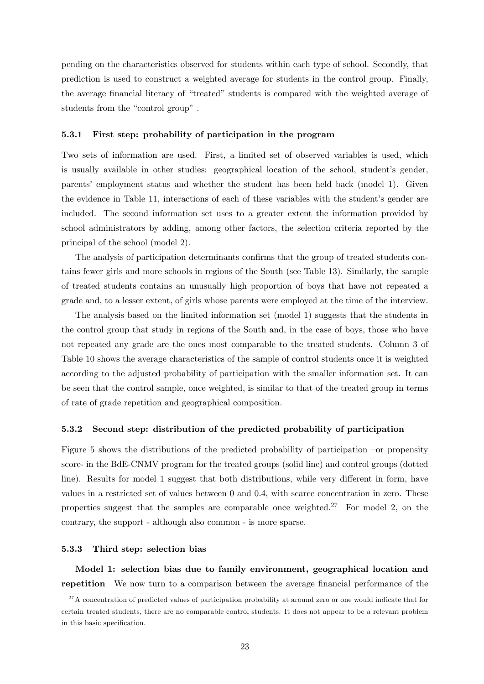pending on the characteristics observed for students within each type of school. Secondly, that prediction is used to construct a weighted average for students in the control group. Finally, the average financial literacy of "treated" students is compared with the weighted average of students from the "control group".

#### 5.3.1 First step: probability of participation in the program

Two sets of information are used. First, a limited set of observed variables is used, which is usually available in other studies: geographical location of the school, student's gender, parentsí employment status and whether the student has been held back (model 1). Given the evidence in Table [11,](#page-38-0) interactions of each of these variables with the student's gender are included. The second information set uses to a greater extent the information provided by school administrators by adding, among other factors, the selection criteria reported by the principal of the school (model 2).

The analysis of participation determinants confirms that the group of treated students contains fewer girls and more schools in regions of the South (see Table [13\)](#page-39-0). Similarly, the sample of treated students contains an unusually high proportion of boys that have not repeated a grade and, to a lesser extent, of girls whose parents were employed at the time of the interview.

The analysis based on the limited information set (model 1) suggests that the students in the control group that study in regions of the South and, in the case of boys, those who have not repeated any grade are the ones most comparable to the treated students. Column 3 of Table [10](#page-37-0) shows the average characteristics of the sample of control students once it is weighted according to the adjusted probability of participation with the smaller information set. It can be seen that the control sample, once weighted, is similar to that of the treated group in terms of rate of grade repetition and geographical composition.

#### 5.3.2 Second step: distribution of the predicted probability of participation

Figure [5](#page-44-0) shows the distributions of the predicted probability of participation  $-$ or propensity score- in the BdE-CNMV program for the treated groups (solid line) and control groups (dotted line). Results for model 1 suggest that both distributions, while very different in form, have values in a restricted set of values between 0 and 0.4, with scarce concentration in zero. These properties suggest that the samples are comparable once weighted.<sup>[27](#page-25-0)</sup> For model 2, on the contrary, the support - although also common - is more sparse.

#### 5.3.3 Third step: selection bias

Model 1: selection bias due to family environment, geographical location and repetition We now turn to a comparison between the average financial performance of the

<span id="page-25-0"></span><sup>&</sup>lt;sup>27</sup>A concentration of predicted values of participation probability at around zero or one would indicate that for certain treated students, there are no comparable control students. It does not appear to be a relevant problem in this basic specification.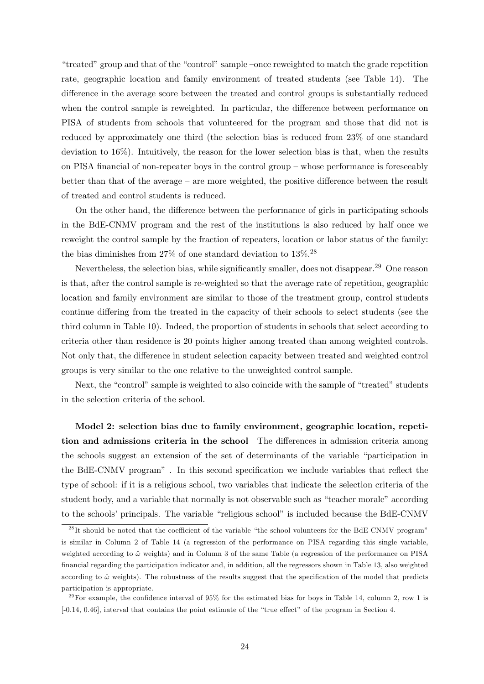ìtreatedîgroup and that of the ìcontrolîsample ñonce reweighted to match the grade repetition rate, geographic location and family environment of treated students (see Table [14\)](#page-40-1). The difference in the average score between the treated and control groups is substantially reduced when the control sample is reweighted. In particular, the difference between performance on PISA of students from schools that volunteered for the program and those that did not is reduced by approximately one third (the selection bias is reduced from 23% of one standard deviation to 16%). Intuitively, the reason for the lower selection bias is that, when the results on PISA financial of non-repeater boys in the control group  $-\mu$  whose performance is foreseeably better than that of the average  $-$  are more weighted, the positive difference between the result of treated and control students is reduced.

On the other hand, the difference between the performance of girls in participating schools in the BdE-CNMV program and the rest of the institutions is also reduced by half once we reweight the control sample by the fraction of repeaters, location or labor status of the family: the bias diminishes from 27% of one standard deviation to  $13\%.^{28}$  $13\%.^{28}$  $13\%.^{28}$ 

Nevertheless, the selection bias, while significantly smaller, does not disappear.<sup>[29](#page-26-1)</sup> One reason is that, after the control sample is re-weighted so that the average rate of repetition, geographic location and family environment are similar to those of the treatment group, control students continue differing from the treated in the capacity of their schools to select students (see the third column in Table [10\)](#page-37-0). Indeed, the proportion of students in schools that select according to criteria other than residence is 20 points higher among treated than among weighted controls. Not only that, the difference in student selection capacity between treated and weighted control groups is very similar to the one relative to the unweighted control sample.

Next, the "control" sample is weighted to also coincide with the sample of "treated" students in the selection criteria of the school.

Model 2: selection bias due to family environment, geographic location, repetition and admissions criteria in the school The differences in admission criteria among the schools suggest an extension of the set of determinants of the variable "participation in the BdE-CNMV program". In this second specification we include variables that reflect the type of school: if it is a religious school, two variables that indicate the selection criteria of the student body, and a variable that normally is not observable such as "teacher morale" according to the schools' principals. The variable "religious school" is included because the BdE-CNMV

<span id="page-26-0"></span> $^{28}$ It should be noted that the coefficient of the variable "the school volunteers for the BdE-CNMV program" is similar in Column 2 of Table [14](#page-40-1) (a regression of the performance on PISA regarding this single variable, weighted according to  $\hat{\omega}$  weights) and in Column 3 of the same Table (a regression of the performance on PISA Önancial regarding the participation indicator and, in addition, all the regressors shown in Table [13,](#page-39-0) also weighted according to  $\hat{\omega}$  weights). The robustness of the results suggest that the specification of the model that predicts participation is appropriate.

<span id="page-26-1"></span><sup>&</sup>lt;sup>29</sup>For example, the confidence interval of  $95\%$  for the estimated bias for boys in Table [14,](#page-40-1) column 2, row 1 is  $[-0.14, 0.46]$ , interval that contains the point estimate of the "true effect" of the program in Section [4.](#page-13-0)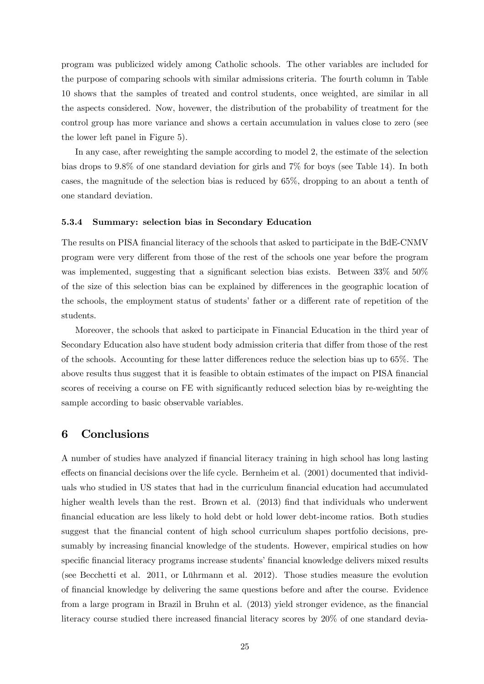program was publicized widely among Catholic schools. The other variables are included for the purpose of comparing schools with similar admissions criteria. The fourth column in Table [10](#page-37-0) shows that the samples of treated and control students, once weighted, are similar in all the aspects considered. Now, hovewer, the distribution of the probability of treatment for the control group has more variance and shows a certain accumulation in values close to zero (see the lower left panel in Figure [5\)](#page-44-0).

In any case, after reweighting the sample according to model 2, the estimate of the selection bias drops to 9.8% of one standard deviation for girls and 7% for boys (see Table [14\)](#page-40-1). In both cases, the magnitude of the selection bias is reduced by 65%, dropping to an about a tenth of one standard deviation.

#### 5.3.4 Summary: selection bias in Secondary Education

The results on PISA financial literacy of the schools that asked to participate in the BdE-CNMV program were very different from those of the rest of the schools one year before the program was implemented, suggesting that a significant selection bias exists. Between  $33\%$  and  $50\%$ of the size of this selection bias can be explained by differences in the geographic location of the schools, the employment status of students' father or a different rate of repetition of the students.

Moreover, the schools that asked to participate in Financial Education in the third year of Secondary Education also have student body admission criteria that differ from those of the rest of the schools. Accounting for these latter differences reduce the selection bias up to 65%. The above results thus suggest that it is feasible to obtain estimates of the impact on PISA financial scores of receiving a course on FE with significantly reduced selection bias by re-weighting the sample according to basic observable variables.

## <span id="page-27-0"></span>6 Conclusions

A number of studies have analyzed if Önancial literacy training in high school has long lasting effects on financial decisions over the life cycle. Bernheim et al.  $(2001)$  documented that individuals who studied in US states that had in the curriculum Önancial education had accumulated higher wealth levels than the rest. Brown et al. (2013) find that individuals who underwent Önancial education are less likely to hold debt or hold lower debt-income ratios. Both studies suggest that the financial content of high school curriculum shapes portfolio decisions, presumably by increasing financial knowledge of the students. However, empirical studies on how specific financial literacy programs increase students' financial knowledge delivers mixed results (see Becchetti et al. 2011, or Lührmann et al. 2012). Those studies measure the evolution of Önancial knowledge by delivering the same questions before and after the course. Evidence from a large program in Brazil in Bruhn et al. (2013) yield stronger evidence, as the financial literacy course studied there increased financial literacy scores by 20% of one standard devia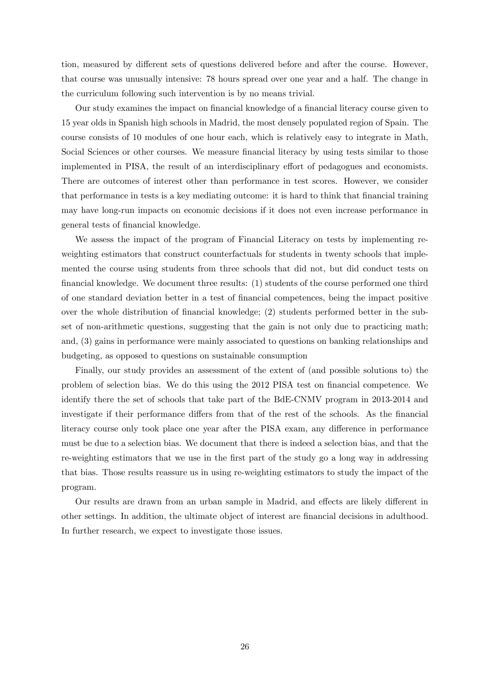tion, measured by different sets of questions delivered before and after the course. However, that course was unusually intensive: 78 hours spread over one year and a half. The change in the curriculum following such intervention is by no means trivial.

Our study examines the impact on financial knowledge of a financial literacy course given to 15 year olds in Spanish high schools in Madrid, the most densely populated region of Spain. The course consists of 10 modules of one hour each, which is relatively easy to integrate in Math, Social Sciences or other courses. We measure financial literacy by using tests similar to those implemented in PISA, the result of an interdisciplinary effort of pedagogues and economists. There are outcomes of interest other than performance in test scores. However, we consider that performance in tests is a key mediating outcome: it is hard to think that financial training may have long-run impacts on economic decisions if it does not even increase performance in general tests of financial knowledge.

We assess the impact of the program of Financial Literacy on tests by implementing reweighting estimators that construct counterfactuals for students in twenty schools that implemented the course using students from three schools that did not, but did conduct tests on Önancial knowledge. We document three results: (1) students of the course performed one third of one standard deviation better in a test of Önancial competences, being the impact positive over the whole distribution of financial knowledge;  $(2)$  students performed better in the subset of non-arithmetic questions, suggesting that the gain is not only due to practicing math; and, (3) gains in performance were mainly associated to questions on banking relationships and budgeting, as opposed to questions on sustainable consumption

Finally, our study provides an assessment of the extent of (and possible solutions to) the problem of selection bias. We do this using the 2012 PISA test on Önancial competence. We identify there the set of schools that take part of the BdE-CNMV program in 2013-2014 and investigate if their performance differs from that of the rest of the schools. As the financial literacy course only took place one year after the PISA exam, any difference in performance must be due to a selection bias. We document that there is indeed a selection bias, and that the re-weighting estimators that we use in the first part of the study go a long way in addressing that bias. Those results reassure us in using re-weighting estimators to study the impact of the program.

Our results are drawn from an urban sample in Madrid, and effects are likely different in other settings. In addition, the ultimate object of interest are Önancial decisions in adulthood. In further research, we expect to investigate those issues.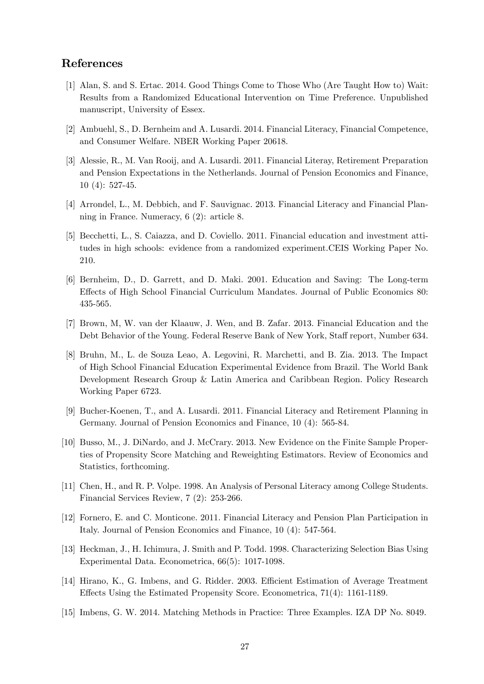### References

- [1] Alan, S. and S. Ertac. 2014. Good Things Come to Those Who (Are Taught How to) Wait: Results from a Randomized Educational Intervention on Time Preference. Unpublished manuscript, University of Essex.
- [2] Ambuehl, S., D. Bernheim and A. Lusardi. 2014. Financial Literacy, Financial Competence, and Consumer Welfare. NBER Working Paper 20618.
- [3] Alessie, R., M. Van Rooij, and A. Lusardi. 2011. Financial Literay, Retirement Preparation and Pension Expectations in the Netherlands. Journal of Pension Economics and Finance, 10 (4): 527-45.
- [4] Arrondel, L., M. Debbich, and F. Sauvignac. 2013. Financial Literacy and Financial Planning in France. Numeracy, 6 (2): article 8.
- [5] Becchetti, L., S. Caiazza, and D. Coviello. 2011. Financial education and investment attitudes in high schools: evidence from a randomized experiment.CEIS Working Paper No. 210.
- [6] Bernheim, D., D. Garrett, and D. Maki. 2001. Education and Saving: The Long-term Effects of High School Financial Curriculum Mandates. Journal of Public Economics 80: 435-565.
- [7] Brown, M, W. van der Klaauw, J. Wen, and B. Zafar. 2013. Financial Education and the Debt Behavior of the Young. Federal Reserve Bank of New York, Staff report, Number 634.
- [8] Bruhn, M., L. de Souza Leao, A. Legovini, R. Marchetti, and B. Zia. 2013. The Impact of High School Financial Education Experimental Evidence from Brazil. The World Bank Development Research Group & Latin America and Caribbean Region. Policy Research Working Paper 6723.
- [9] Bucher-Koenen, T., and A. Lusardi. 2011. Financial Literacy and Retirement Planning in Germany. Journal of Pension Economics and Finance, 10 (4): 565-84.
- [10] Busso, M., J. DiNardo, and J. McCrary. 2013. New Evidence on the Finite Sample Properties of Propensity Score Matching and Reweighting Estimators. Review of Economics and Statistics, forthcoming.
- [11] Chen, H., and R. P. Volpe. 1998. An Analysis of Personal Literacy among College Students. Financial Services Review, 7 (2): 253-266.
- [12] Fornero, E. and C. Monticone. 2011. Financial Literacy and Pension Plan Participation in Italy. Journal of Pension Economics and Finance, 10 (4): 547-564.
- [13] Heckman, J., H. Ichimura, J. Smith and P. Todd. 1998. Characterizing Selection Bias Using Experimental Data. Econometrica, 66(5): 1017-1098.
- [14] Hirano, K., G. Imbens, and G. Ridder. 2003. Efficient Estimation of Average Treatment Effects Using the Estimated Propensity Score. Econometrica, 71(4): 1161-1189.
- [15] Imbens, G. W. 2014. Matching Methods in Practice: Three Examples. IZA DP No. 8049.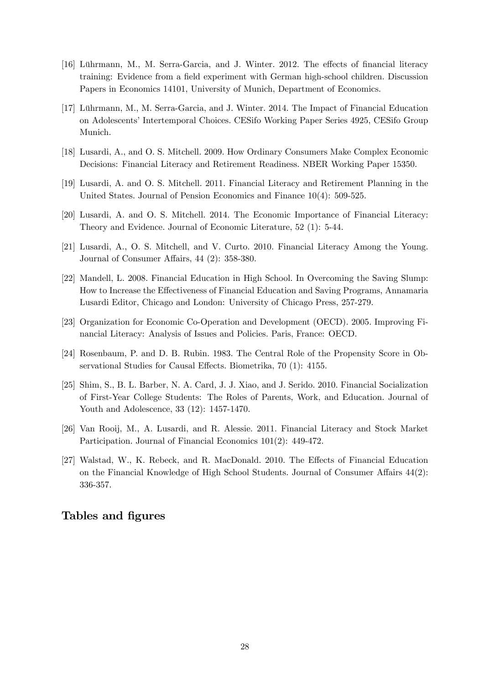- [16] Lührmann, M., M. Serra-Garcia, and J. Winter. 2012. The effects of financial literacy training: Evidence from a field experiment with German high-school children. Discussion Papers in Economics 14101, University of Munich, Department of Economics.
- [17] Lührmann, M., M. Serra-Garcia, and J. Winter. 2014. The Impact of Financial Education on Adolescents' Intertemporal Choices. CESifo Working Paper Series 4925, CESifo Group Munich.
- [18] Lusardi, A., and O. S. Mitchell. 2009. How Ordinary Consumers Make Complex Economic Decisions: Financial Literacy and Retirement Readiness. NBER Working Paper 15350.
- [19] Lusardi, A. and O. S. Mitchell. 2011. Financial Literacy and Retirement Planning in the United States. Journal of Pension Economics and Finance 10(4): 509-525.
- [20] Lusardi, A. and O. S. Mitchell. 2014. The Economic Importance of Financial Literacy: Theory and Evidence. Journal of Economic Literature, 52 (1): 5-44.
- [21] Lusardi, A., O. S. Mitchell, and V. Curto. 2010. Financial Literacy Among the Young. Journal of Consumer Affairs,  $44$  (2): 358-380.
- [22] Mandell, L. 2008. Financial Education in High School. In Overcoming the Saving Slump: How to Increase the Effectiveness of Financial Education and Saving Programs, Annamaria Lusardi Editor, Chicago and London: University of Chicago Press, 257-279.
- [23] Organization for Economic Co-Operation and Development (OECD). 2005. Improving Financial Literacy: Analysis of Issues and Policies. Paris, France: OECD.
- [24] Rosenbaum, P. and D. B. Rubin. 1983. The Central Role of the Propensity Score in Observational Studies for Causal Effects. Biometrika, 70 (1): 4155.
- [25] Shim, S., B. L. Barber, N. A. Card, J. J. Xiao, and J. Serido. 2010. Financial Socialization of First-Year College Students: The Roles of Parents, Work, and Education. Journal of Youth and Adolescence, 33 (12): 1457-1470.
- [26] Van Rooij, M., A. Lusardi, and R. Alessie. 2011. Financial Literacy and Stock Market Participation. Journal of Financial Economics 101(2): 449-472.
- [27] Walstad, W., K. Rebeck, and R. MacDonald. 2010. The Effects of Financial Education on the Financial Knowledge of High School Students. Journal of Consumer Affairs  $44(2)$ : 336-357.

## Tables and figures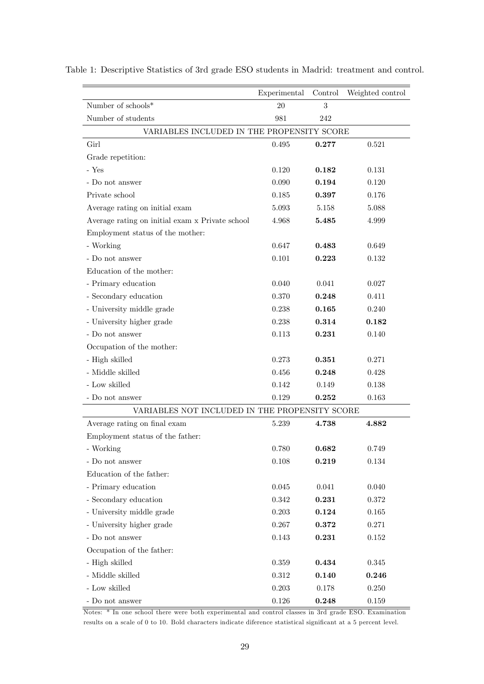<span id="page-31-0"></span>

|                                                 | Experimental | Control | Weighted control |
|-------------------------------------------------|--------------|---------|------------------|
| Number of schools*                              | 20           | 3       |                  |
| Number of students                              | 981          | 242     |                  |
| VARIABLES INCLUDED IN THE PROPENSITY SCORE      |              |         |                  |
| Girl                                            | 0.495        | 0.277   | 0.521            |
| Grade repetition:                               |              |         |                  |
| - Yes                                           | 0.120        | 0.182   | 0.131            |
| - Do not answer                                 | 0.090        | 0.194   | 0.120            |
| Private school                                  | 0.185        | 0.397   | 0.176            |
| Average rating on initial exam                  | 5.093        | 5.158   | 5.088            |
| Average rating on initial exam x Private school | 4.968        | 5.485   | 4.999            |
| Employment status of the mother:                |              |         |                  |
| - Working                                       | 0.647        | 0.483   | 0.649            |
| - Do not answer                                 | 0.101        | 0.223   | 0.132            |
| Education of the mother:                        |              |         |                  |
| - Primary education                             | 0.040        | 0.041   | 0.027            |
| - Secondary education                           | 0.370        | 0.248   | 0.411            |
| - University middle grade                       | 0.238        | 0.165   | 0.240            |
| - University higher grade                       | 0.238        | 0.314   | $\,0.182\,$      |
| - Do not answer                                 | 0.113        | 0.231   | 0.140            |
| Occupation of the mother:                       |              |         |                  |
| - High skilled                                  | 0.273        | 0.351   | 0.271            |
| - Middle skilled                                | 0.456        | 0.248   | 0.428            |
| - Low skilled                                   | 0.142        | 0.149   | 0.138            |
| - Do not answer                                 | 0.129        | 0.252   | 0.163            |
| VARIABLES NOT INCLUDED IN THE PROPENSITY SCORE  |              |         |                  |
| Average rating on final exam                    | 5.239        | 4.738   | 4.882            |
| Employment status of the father:                |              |         |                  |
| - Working                                       | 0.780        | 0.682   | 0.749            |
| - Do not answer                                 | 0.108        | 0.219   | $0.134\,$        |
| Education of the father:                        |              |         |                  |
| - Primary education                             | $0.045\,$    | 0.041   | 0.040            |
| - Secondary education                           | 0.342        | 0.231   | 0.372            |
| - University middle grade                       | 0.203        | 0.124   | 0.165            |
| - University higher grade                       | 0.267        | 0.372   | 0.271            |
| - Do not answer                                 | 0.143        | 0.231   | $0.152\,$        |
| Occupation of the father:                       |              |         |                  |
| - High skilled                                  | $0.359\,$    | 0.434   | 0.345            |
| - Middle skilled                                | 0.312        | 0.140   | 0.246            |
| - Low skilled                                   | $0.203\,$    | 0.178   | 0.250            |
| - Do not answer                                 | 0.126        | 0.248   | $0.159\,$        |

Table 1: Descriptive Statistics of 3rd grade ESO students in Madrid: treatment and control.

Notes: \* In one school there were both experimental and control classes in 3rd grade ESO. Examination results on a scale of 0 to 10. Bold characters indicate diference statistical significant at a 5 percent level.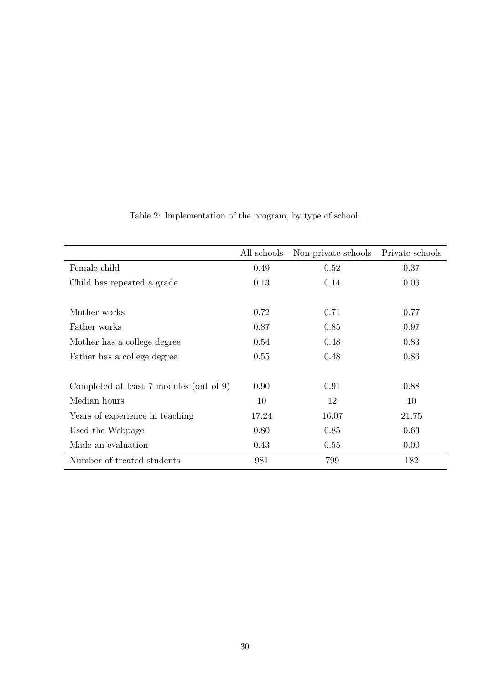|                                         | All schools | Non-private schools | Private schools |
|-----------------------------------------|-------------|---------------------|-----------------|
| Female child                            | 0.49        | 0.52                | 0.37            |
| Child has repeated a grade              | 0.13        | 0.14                | 0.06            |
|                                         |             |                     |                 |
| Mother works                            | 0.72        | 0.71                | 0.77            |
| Father works                            | 0.87        | 0.85                | 0.97            |
| Mother has a college degree             | 0.54        | 0.48                | 0.83            |
| Father has a college degree             | 0.55        | 0.48                | 0.86            |
|                                         |             |                     |                 |
| Completed at least 7 modules (out of 9) | 0.90        | 0.91                | 0.88            |
| Median hours                            | 10          | 12                  | 10              |
| Years of experience in teaching         | 17.24       | 16.07               | 21.75           |
| Used the Webpage                        | 0.80        | 0.85                | 0.63            |
| Made an evaluation                      | 0.43        | 0.55                | 0.00            |
| Number of treated students              | 981         | 799                 | 182             |

<span id="page-32-0"></span>Table 2: Implementation of the program, by type of school.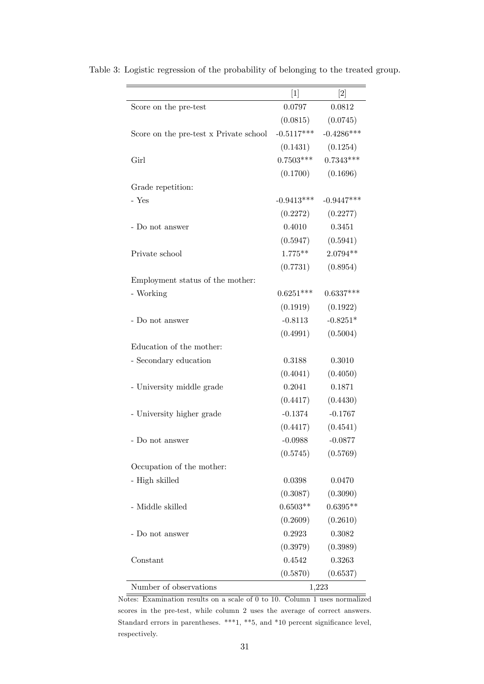<span id="page-33-0"></span>

|                                        | $[1]$        | $\lceil 2 \rceil$ |
|----------------------------------------|--------------|-------------------|
| Score on the pre-test                  | 0.0797       | 0.0812            |
|                                        | (0.0815)     | (0.0745)          |
| Score on the pre-test x Private school | $-0.5117***$ | $-0.4286***$      |
|                                        | (0.1431)     | (0.1254)          |
| Girl                                   | $0.7503***$  | $0.7343***$       |
|                                        | (0.1700)     | (0.1696)          |
| Grade repetition:                      |              |                   |
| - Yes                                  | $-0.9413***$ | $-0.9447***$      |
|                                        | (0.2272)     | (0.2277)          |
| - Do not answer                        | 0.4010       | 0.3451            |
|                                        | (0.5947)     | (0.5941)          |
| Private school                         | $1.775***$   | $2.0794**$        |
|                                        | (0.7731)     | (0.8954)          |
| Employment status of the mother:       |              |                   |
| - Working                              | $0.6251***$  | $0.6337***$       |
|                                        | (0.1919)     | (0.1922)          |
| - Do not answer                        | $-0.8113$    | $-0.8251*$        |
|                                        | (0.4991)     | (0.5004)          |
| Education of the mother:               |              |                   |
| - Secondary education                  | 0.3188       | 0.3010            |
|                                        | (0.4041)     | (0.4050)          |
| - University middle grade              | 0.2041       | 0.1871            |
|                                        | (0.4417)     | (0.4430)          |
| - University higher grade              | $-0.1374$    | $-0.1767$         |
|                                        | (0.4417)     | (0.4541)          |
| - Do not answer                        | $-0.0988$    | $-0.0877$         |
|                                        | (0.5745)     | (0.5769)          |
| Occupation of the mother:              |              |                   |
| - High skilled                         | 0.0398       | 0.0470            |
|                                        | (0.3087)     | (0.3090)          |
| - Middle skilled                       | $0.6503**$   | $0.6395**$        |
|                                        | (0.2609)     | (0.2610)          |
| - Do not answer                        | 0.2923       | 0.3082            |
|                                        | (0.3979)     | (0.3989)          |
| Constant                               | 0.4542       | 0.3263            |
|                                        | (0.5870)     | (0.6537)          |
| Number of observations                 |              | 1,223             |

Table 3: Logistic regression of the probability of belonging to the treated group.

Notes: Examination results on a scale of 0 to 10. Column 1 uses normalized scores in the pre-test, while column 2 uses the average of correct answers. Standard errors in parentheses. \*\*\*1, \*\*5, and \*10 percent significance level, respectively.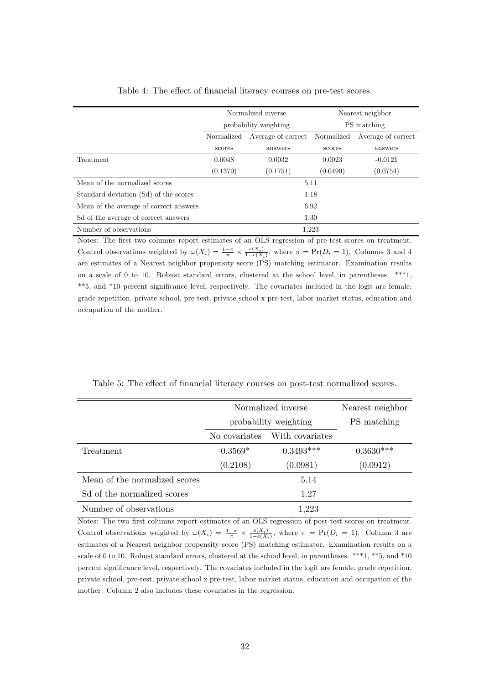|                                        |            | Normalized inverse            |        | Nearest neighbor   |  |
|----------------------------------------|------------|-------------------------------|--------|--------------------|--|
|                                        |            | probability weighting         |        | PS matching        |  |
|                                        | Normalized | Average of correct Normalized |        | Average of correct |  |
|                                        | scores     | answers                       |        | answers            |  |
| Treatment                              | 0.0048     | 0.0032                        | 0.0023 | $-0.0121$          |  |
|                                        | (0.1370)   | (0.0499)<br>(0.1751)          |        | (0.0754)           |  |
| Mean of the normalized scores          |            | 5.11                          |        |                    |  |
| Standard deviation (Sd) of the scores  |            |                               | 1.18   |                    |  |
| Mean of the average of correct answers | 6.92       |                               |        |                    |  |
| Sol of the average of correct answers  | 1.30       |                               |        |                    |  |
| Number of observations                 |            |                               | 1.223  |                    |  |

<span id="page-34-0"></span>Table 4: The effect of financial literacy courses on pre-test scores.

Notes: The first two columns report estimates of an OLS regression of pre-test scores on treatment. Control observations weighted by  $\omega(X_i) = \frac{1-\pi}{\pi} \times \frac{e(X_i)}{1-e(X_i)}$ , where  $\pi = \Pr(D_i = 1)$ . Columns 3 and 4 are estimates of a Nearest neighbor propensity score (PS) matching estimator. Examination results on a scale of 0 to 10. Robust standard errors, clustered at the school level, in parentheses. \*\*\*1, \*\*5, and \*10 percent significance level, respectively. The covariates included in the logit are female, grade repetition, private school, pre-test, private school x pre-test, labor market status, education and occupation of the mother.

|                               | Normalized inverse    | Nearest neighbor |             |
|-------------------------------|-----------------------|------------------|-------------|
|                               | probability weighting |                  | PS matching |
|                               | No covariates         | With covariates  |             |
| Treatment                     | $0.3569*$             | $0.3493***$      | $0.3630***$ |
|                               | (0.2108)              | (0.0981)         | (0.0912)    |
| Mean of the normalized scores |                       | 5.14             |             |
| Sol of the normalized scores  |                       | 1.27             |             |
| Number of observations        |                       | $1{,}223$        |             |

<span id="page-34-1"></span>Table 5: The effect of financial literacy courses on post-test normalized scores.

Notes: The two first columns report estimates of an OLS regression of post-test scores on treatment. Control observations weighted by  $\omega(X_i) = \frac{1-\pi}{\pi} \times \frac{e(X_i)}{1-e(X_i)}$ , where  $\pi = \Pr(D_i = 1)$ . Column 3 are estimates of a Nearest neighbor propensity score (PS) matching estimator. Examination results on a scale of 0 to 10. Robust standard errors, clustered at the school level, in parentheses. \*\*\*1, \*\*5, and \*10 percent significance level, respectively. The covariates included in the logit are female, grade repetition, private school, pre-test, private school x pre-test, labor market status, education and occupation of the mother. Column 2 also includes these covariates in the regression.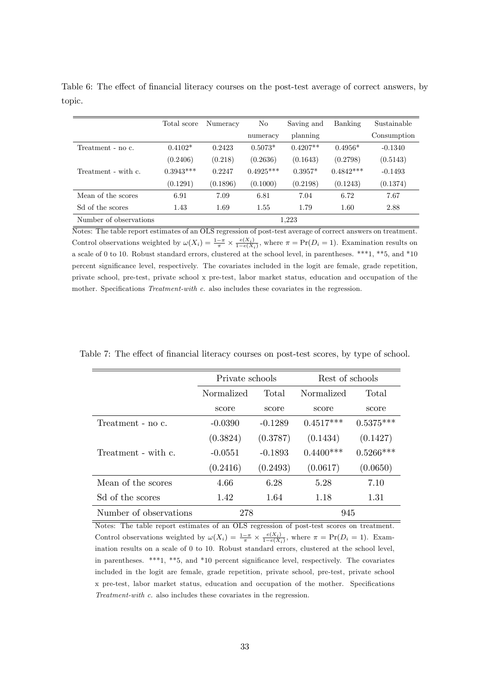|                        | Total score | Numeracy | No          | Saving and | Banking     | Sustainable |
|------------------------|-------------|----------|-------------|------------|-------------|-------------|
|                        |             |          | numeracy    | planning   |             | Consumption |
| Treatment - no c.      | $0.4102*$   | 0.2423   | $0.5073*$   | $0.4207**$ | $0.4956*$   | $-0.1340$   |
|                        | (0.2406)    | (0.218)  | (0.2636)    | (0.1643)   | (0.2798)    | (0.5143)    |
| Treatment - with c.    | $0.3943***$ | 0.2247   | $0.4925***$ | $0.3957*$  | $0.4842***$ | $-0.1493$   |
|                        | (0.1291)    | (0.1896) | (0.1000)    | (0.2198)   | (0.1243)    | (0.1374)    |
| Mean of the scores     | 6.91        | 7.09     | 6.81        | 7.04       | 6.72        | 7.67        |
| Sd of the scores       | 1.43        | 1.69     | 1.55        | 1.79       | 1.60        | 2.88        |
| Number of observations |             |          |             | 1.223      |             |             |

<span id="page-35-0"></span>Table 6: The effect of financial literacy courses on the post-test average of correct answers, by topic.

Notes: The table report estimates of an OLS regression of post-test average of correct answers on treatment. Control observations weighted by  $\omega(X_i) = \frac{1-\pi}{\pi} \times \frac{e(X_i)}{1-e(X_i)}$ , where  $\pi = \Pr(D_i = 1)$ . Examination results on a scale of 0 to 10. Robust standard errors, clustered at the school level, in parentheses. \*\*\*1, \*\*5, and \*10 percent significance level, respectively. The covariates included in the logit are female, grade repetition, private school, pre-test, private school x pre-test, labor market status, education and occupation of the mother. Specifications  $Treatment\text{-}with c$ . also includes these covariates in the regression.

<span id="page-35-1"></span>

|                        | Private schools     |           | Rest of schools |             |  |
|------------------------|---------------------|-----------|-----------------|-------------|--|
|                        | Normalized<br>Total |           | Normalized      | Total       |  |
|                        | score               | score     | score           | score       |  |
| Treatment - no c.      | $-0.0390$           | $-0.1289$ | $0.4517***$     | $0.5375***$ |  |
|                        | (0.3824)            | (0.3787)  | (0.1434)        | (0.1427)    |  |
| Treatment - with c.    | $-0.0551$           | $-0.1893$ | $0.4400***$     | $0.5266***$ |  |
|                        | (0.2416)            | (0.2493)  | (0.0617)        | (0.0650)    |  |
| Mean of the scores     | 4.66                | 6.28      | 5.28            | 7.10        |  |
| Sd of the scores       | 1.42                | 1.64      | 1.18            | 1.31        |  |
| Number of observations | 278                 |           | 945             |             |  |

Table 7: The effect of financial literacy courses on post-test scores, by type of school.

Notes: The table report estimates of an OLS regression of post-test scores on treatment. Control observations weighted by  $\omega(X_i) = \frac{1-\pi}{\pi} \times \frac{e(X_i)}{1-e(X_i)}$ , where  $\pi = \Pr(D_i = 1)$ . Examination results on a scale of 0 to 10. Robust standard errors, clustered at the school level, in parentheses. \*\*\*1, \*\*5, and \*10 percent significance level, respectively. The covariates included in the logit are female, grade repetition, private school, pre-test, private school x pre-test, labor market status, education and occupation of the mother. Specifications Treatment-with c. also includes these covariates in the regression.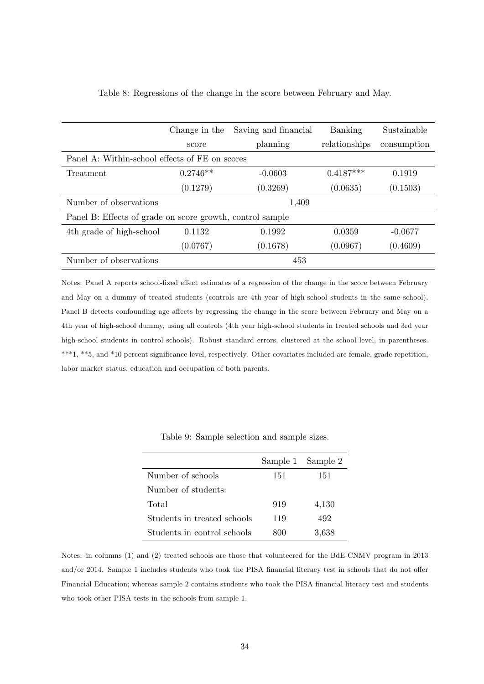|                                                           | Saving and financial<br>Change in the |           | Banking       | Sustainable |
|-----------------------------------------------------------|---------------------------------------|-----------|---------------|-------------|
|                                                           | score                                 | planning  | relationships | consumption |
| Panel A: Within-school effects of FE on scores            |                                       |           |               |             |
| Treatment                                                 | $0.2746**$                            | $-0.0603$ | $0.4187***$   | 0.1919      |
|                                                           | (0.1279)                              | (0.3269)  | (0.0635)      | (0.1503)    |
| Number of observations                                    |                                       | 1,409     |               |             |
| Panel B: Effects of grade on score growth, control sample |                                       |           |               |             |
| 4th grade of high-school                                  | 0.1132                                | 0.1992    | 0.0359        | $-0.0677$   |
|                                                           | (0.0767)                              | (0.1678)  | (0.0967)      | (0.4609)    |
| Number of observations                                    |                                       | 453       |               |             |

<span id="page-36-0"></span>Table 8: Regressions of the change in the score between February and May.

Notes: Panel A reports school-fixed effect estimates of a regression of the change in the score between February and May on a dummy of treated students (controls are 4th year of high-school students in the same school). Panel B detects confounding age affects by regressing the change in the score between February and May on a 4th year of high-school dummy, using all controls (4th year high-school students in treated schools and 3rd year high-school students in control schools). Robust standard errors, clustered at the school level, in parentheses. \*\*\*1, \*\*5, and \*10 percent significance level, respectively. Other covariates included are female, grade repetition, labor market status, education and occupation of both parents.

<span id="page-36-1"></span>

|  |  | Table 9: Sample selection and sample sizes. |  |  |  |
|--|--|---------------------------------------------|--|--|--|
|--|--|---------------------------------------------|--|--|--|

|                             |     | Sample 1 Sample 2 |
|-----------------------------|-----|-------------------|
| Number of schools           | 151 | 151               |
| Number of students.         |     |                   |
| Total                       | 919 | 4,130             |
| Students in treated schools | 119 | 492               |
| Students in control schools | 800 | 3,638             |

Notes: in columns (1) and (2) treated schools are those that volunteered for the BdE-CNMV program in 2013 and/or 2014. Sample 1 includes students who took the PISA financial literacy test in schools that do not offer Financial Education; whereas sample 2 contains students who took the PISA financial literacy test and students who took other PISA tests in the schools from sample 1.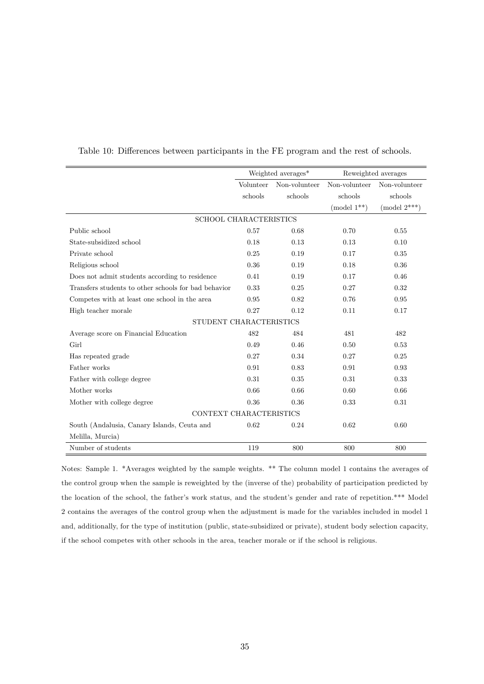|                                                      | Weighted averages* |               | Reweighted averages |                 |  |  |
|------------------------------------------------------|--------------------|---------------|---------------------|-----------------|--|--|
|                                                      | Volunteer          | Non-volunteer | Non-volunteer       | Non-volunteer   |  |  |
|                                                      | schools            | schools       | schools             | schools         |  |  |
|                                                      |                    |               | (model $1**$ )      | (model $2***$ ) |  |  |
| <b>SCHOOL CHARACTERISTICS</b>                        |                    |               |                     |                 |  |  |
| Public school                                        | 0.57               | 0.68          | 0.70                | 0.55            |  |  |
| State-subsidized school                              | 0.18               | 0.13          | 0.13                | 0.10            |  |  |
| Private school                                       | 0.25               | 0.19          | 0.17                | 0.35            |  |  |
| Religious school                                     | 0.36               | 0.19          | 0.18                | 0.36            |  |  |
| Does not admit students according to residence       | 0.41               | 0.19          | 0.17                | 0.46            |  |  |
| Transfers students to other schools for bad behavior | 0.33               | 0.25          | 0.27                | 0.32            |  |  |
| Competes with at least one school in the area        | 0.95               | 0.82          | 0.76                | 0.95            |  |  |
| High teacher morale                                  | 0.27               | 0.12          | 0.11                | 0.17            |  |  |
| STUDENT CHARACTERISTICS                              |                    |               |                     |                 |  |  |
| Average score on Financial Education                 | 482                | 484           | 481                 | 482             |  |  |
| Girl                                                 | 0.49               | 0.46          | 0.50                | 0.53            |  |  |
| Has repeated grade                                   | 0.27               | 0.34          | 0.27                | 0.25            |  |  |
| Father works                                         | 0.91               | 0.83          | 0.91                | 0.93            |  |  |
| Father with college degree                           | 0.31               | 0.35          | 0.31                | 0.33            |  |  |
| Mother works                                         | 0.66               | 0.66          | 0.60                | 0.66            |  |  |
| Mother with college degree                           | 0.36               | 0.36          | 0.33                | 0.31            |  |  |
| CONTEXT CHARACTERISTICS                              |                    |               |                     |                 |  |  |
| South (Andalusia, Canary Islands, Ceuta and          | 0.62               | 0.24          | 0.62                | 0.60            |  |  |
| Melilla, Murcia)                                     |                    |               |                     |                 |  |  |
| Number of students                                   | 119                | 800           | 800                 | 800             |  |  |

#### <span id="page-37-0"></span>Table 10: Differences between participants in the FE program and the rest of schools.

Notes: Sample 1. \*Averages weighted by the sample weights. \*\* The column model 1 contains the averages of the control group when the sample is reweighted by the (inverse of the) probability of participation predicted by the location of the school, the father's work status, and the student's gender and rate of repetition.\*\*\* Model 2 contains the averages of the control group when the adjustment is made for the variables included in model 1 and, additionally, for the type of institution (public, state-subsidized or private), student body selection capacity, if the school competes with other schools in the area, teacher morale or if the school is religious.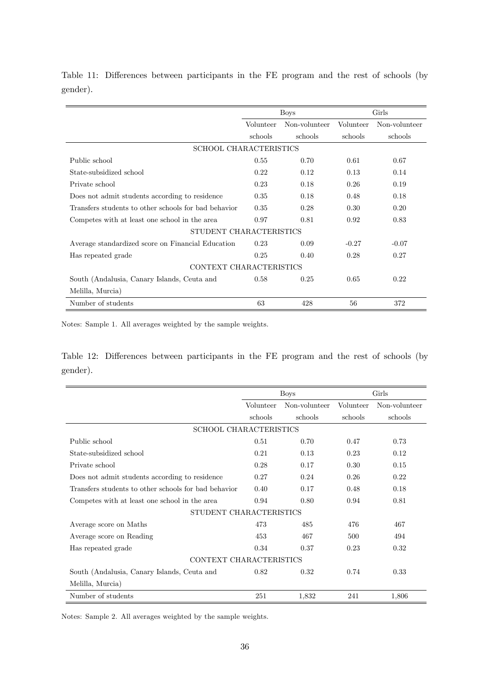|                                                      | <b>Boys</b> |               |           | Girls         |
|------------------------------------------------------|-------------|---------------|-----------|---------------|
|                                                      | Volunteer   | Non-volunteer | Volunteer | Non-volunteer |
|                                                      | schools     | schools       | schools   | schools       |
| <b>SCHOOL CHARACTERISTICS</b>                        |             |               |           |               |
| Public school                                        | 0.55        | 0.70          | 0.61      | 0.67          |
| State-subsidized school                              | 0.22        | 0.12          | 0.13      | 0.14          |
| Private school                                       | 0.23        | 0.18          | 0.26      | 0.19          |
| Does not admit students according to residence       | 0.35        | 0.18          | 0.48      | 0.18          |
| Transfers students to other schools for bad behavior | 0.35        | 0.28          | 0.30      | 0.20          |
| Competes with at least one school in the area        | 0.97        | 0.81          | 0.92      | 0.83          |
| STUDENT CHARACTERISTICS                              |             |               |           |               |
| Average standardized score on Financial Education    | 0.23        | 0.09          | $-0.27$   | $-0.07$       |
| Has repeated grade                                   | 0.25        | 0.40          | 0.28      | 0.27          |
| CONTEXT CHARACTERISTICS                              |             |               |           |               |
| South (Andalusia, Canary Islands, Ceuta and          | 0.58        | 0.25          | 0.65      | 0.22          |
| Melilla, Murcia)                                     |             |               |           |               |
| Number of students                                   | 63          | 428           | 56        | 372           |

<span id="page-38-0"></span>Table 11: Differences between participants in the FE program and the rest of schools (by gender).

Notes: Sample 1. All averages weighted by the sample weights.

<span id="page-38-1"></span>Table 12: Differences between participants in the FE program and the rest of schools (by gender).

|                                                      |                            | <b>Boys</b> | Girls     |               |  |  |  |  |  |  |
|------------------------------------------------------|----------------------------|-------------|-----------|---------------|--|--|--|--|--|--|
|                                                      | Non-volunteer<br>Volunteer |             | Volunteer | Non-volunteer |  |  |  |  |  |  |
|                                                      | schools                    | schools     | schools   | schools       |  |  |  |  |  |  |
| <b>SCHOOL CHARACTERISTICS</b>                        |                            |             |           |               |  |  |  |  |  |  |
| Public school                                        | 0.51                       | 0.70        | 0.47      | 0.73          |  |  |  |  |  |  |
| State-subsidized school                              | 0.21                       | 0.13        | 0.23      | 0.12          |  |  |  |  |  |  |
| Private school                                       | 0.28                       | 0.17        | 0.30      | 0.15          |  |  |  |  |  |  |
| Does not admit students according to residence       | 0.27                       | 0.24        | 0.26      | 0.22          |  |  |  |  |  |  |
| Transfers students to other schools for bad behavior | 0.40                       | 0.17        | 0.48      | 0.18          |  |  |  |  |  |  |
| Competes with at least one school in the area        | 0.94                       | 0.80        | 0.94      | 0.81          |  |  |  |  |  |  |
| STUDENT CHARACTERISTICS                              |                            |             |           |               |  |  |  |  |  |  |
| Average score on Maths                               | 473                        | 485         | 476       | 467           |  |  |  |  |  |  |
| Average score on Reading                             | 453                        | 467         | 500       | 494           |  |  |  |  |  |  |
| Has repeated grade                                   | 0.34                       | 0.37        | 0.23      | 0.32          |  |  |  |  |  |  |
| CONTEXT CHARACTERISTICS                              |                            |             |           |               |  |  |  |  |  |  |
| South (Andalusia, Canary Islands, Ceuta and          | 0.82                       | 0.32        | 0.74      | 0.33          |  |  |  |  |  |  |
| Melilla, Murcia)                                     |                            |             |           |               |  |  |  |  |  |  |
| Number of students                                   | 251                        | 1,832       | 241       | 1,806         |  |  |  |  |  |  |

Notes: Sample 2. All averages weighted by the sample weights.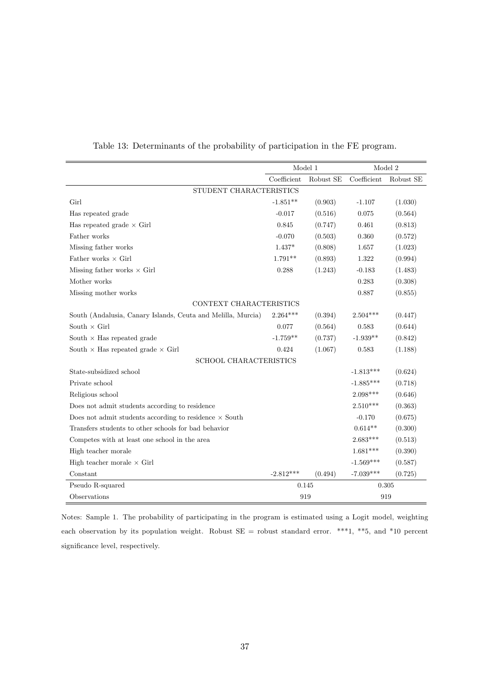|                                                               | Model 1     |           | Model 2     |           |  |  |  |  |  |
|---------------------------------------------------------------|-------------|-----------|-------------|-----------|--|--|--|--|--|
|                                                               | Coefficient | Robust SE | Coefficient | Robust SE |  |  |  |  |  |
| STUDENT CHARACTERISTICS                                       |             |           |             |           |  |  |  |  |  |
| Girl                                                          | $-1.851**$  | (0.903)   | $-1.107$    | (1.030)   |  |  |  |  |  |
| Has repeated grade                                            | $-0.017$    | (0.516)   | 0.075       | (0.564)   |  |  |  |  |  |
| Has repeated grade $\times$ Girl                              | 0.845       | (0.747)   | 0.461       | (0.813)   |  |  |  |  |  |
| Father works                                                  | $-0.070$    | (0.503)   | 0.360       | (0.572)   |  |  |  |  |  |
| Missing father works                                          | $1.437*$    | (0.808)   | 1.657       | (1.023)   |  |  |  |  |  |
| Father works $\times$ Girl                                    | $1.791**$   | (0.893)   | 1.322       | (0.994)   |  |  |  |  |  |
| Missing father works $\times$ Girl                            | 0.288       | (1.243)   | $-0.183$    | (1.483)   |  |  |  |  |  |
| Mother works                                                  |             |           | 0.283       | (0.308)   |  |  |  |  |  |
| Missing mother works                                          |             |           | 0.887       | (0.855)   |  |  |  |  |  |
| CONTEXT CHARACTERISTICS                                       |             |           |             |           |  |  |  |  |  |
| South (Andalusia, Canary Islands, Ceuta and Melilla, Murcia)  | $2.264***$  | (0.394)   | $2.504***$  | (0.447)   |  |  |  |  |  |
| South $\times$ Girl                                           | 0.077       | (0.564)   | 0.583       | (0.644)   |  |  |  |  |  |
| South $\times$ Has repeated grade                             | $-1.759**$  | (0.737)   | $-1.939**$  | (0.842)   |  |  |  |  |  |
| South $\times$ Has repeated grade $\times$ Girl               | 0.424       | (1.067)   | 0.583       | (1.188)   |  |  |  |  |  |
| <b>SCHOOL CHARACTERISTICS</b>                                 |             |           |             |           |  |  |  |  |  |
| State-subsidized school                                       |             |           | $-1.813***$ | (0.624)   |  |  |  |  |  |
| Private school                                                |             |           | $-1.885***$ | (0.718)   |  |  |  |  |  |
| Religious school                                              |             |           | $2.098***$  | (0.646)   |  |  |  |  |  |
| Does not admit students according to residence                |             |           | $2.510***$  | (0.363)   |  |  |  |  |  |
| Does not admit students according to residence $\times$ South |             |           | $-0.170$    | (0.675)   |  |  |  |  |  |
| Transfers students to other schools for bad behavior          |             |           | $0.614**$   | (0.300)   |  |  |  |  |  |
| Competes with at least one school in the area                 |             |           | $2.683***$  | (0.513)   |  |  |  |  |  |
| High teacher morale                                           |             |           | $1.681***$  | (0.390)   |  |  |  |  |  |
| High teacher morale $\times$ Girl                             |             |           | $-1.569***$ | (0.587)   |  |  |  |  |  |
| Constant                                                      | $-2.812***$ | (0.494)   | $-7.039***$ | (0.725)   |  |  |  |  |  |
| Pseudo R-squared                                              | 0.145       |           | 0.305       |           |  |  |  |  |  |
| Observations                                                  | 919         |           | 919         |           |  |  |  |  |  |

<span id="page-39-0"></span>Table 13: Determinants of the probability of participation in the FE program.

Notes: Sample 1. The probability of participating in the program is estimated using a Logit model, weighting each observation by its population weight. Robust  $SE$  = robust standard error. \*\*\*1, \*\*5, and \*10 percent significance level, respectively.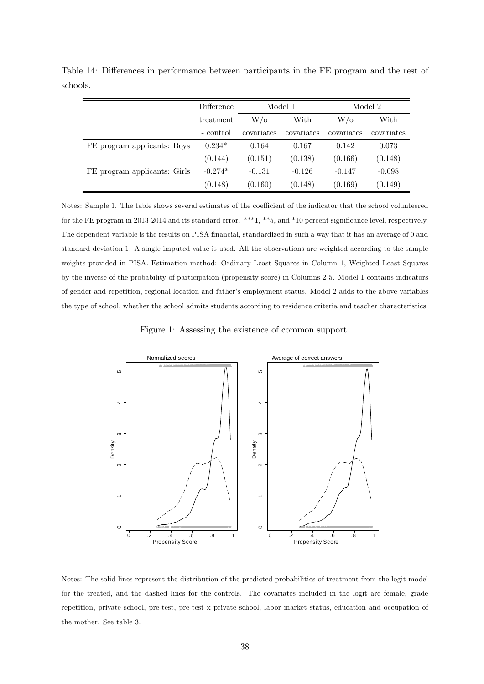|                              | Difference | Model 1    |            | Model 2    |            |
|------------------------------|------------|------------|------------|------------|------------|
|                              | treatment  | $W/\sigma$ | With       | $W/\sigma$ | With       |
|                              | - control  | covariates | covariates | covariates | covariates |
| FE program applicants: Boys  | $0.234*$   | 0.164      | 0.167      | 0.142      | 0.073      |
|                              | (0.144)    | (0.151)    | (0.138)    | (0.166)    | (0.148)    |
| FE program applicants: Girls | $-0.274*$  | $-0.131$   | $-0.126$   | $-0.147$   | $-0.098$   |
|                              | (0.148)    | (0.160)    | (0.148)    | (0.169)    | (0.149)    |

<span id="page-40-1"></span>Table 14: Differences in performance between participants in the FE program and the rest of schools.

Notes: Sample 1. The table shows several estimates of the coefficient of the indicator that the school volunteered for the FE program in 2013-2014 and its standard error. \*\*\*1, \*\*5, and \*10 percent significance level, respectively. The dependent variable is the results on PISA financial, standardized in such a way that it has an average of 0 and standard deviation 1. A single imputed value is used. All the observations are weighted according to the sample weights provided in PISA. Estimation method: Ordinary Least Squares in Column 1, Weighted Least Squares by the inverse of the probability of participation (propensity score) in Columns 2-5. Model 1 contains indicators of gender and repetition, regional location and fatherís employment status. Model 2 adds to the above variables the type of school, whether the school admits students according to residence criteria and teacher characteristics.

<span id="page-40-0"></span>Figure 1: Assessing the existence of common support.



Notes: The solid lines represent the distribution of the predicted probabilities of treatment from the logit model for the treated, and the dashed lines for the controls. The covariates included in the logit are female, grade repetition, private school, pre-test, pre-test x private school, labor market status, education and occupation of the mother. See table [3.](#page-33-0)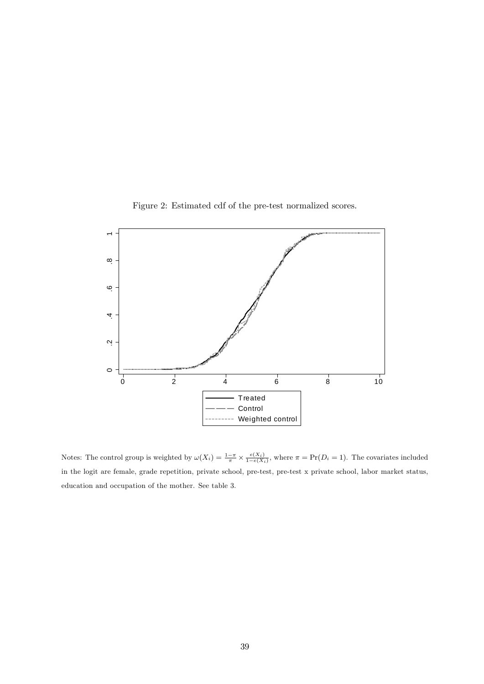

<span id="page-41-0"></span>Figure 2: Estimated cdf of the pre-test normalized scores.

Notes: The control group is weighted by  $\omega(X_i) = \frac{1-\pi}{\pi} \times \frac{e(X_i)}{1-e(X_i)}$ , where  $\pi = \Pr(D_i = 1)$ . The covariates included in the logit are female, grade repetition, private school, pre-test, pre-test x private school, labor market status, education and occupation of the mother. See table [3.](#page-33-0)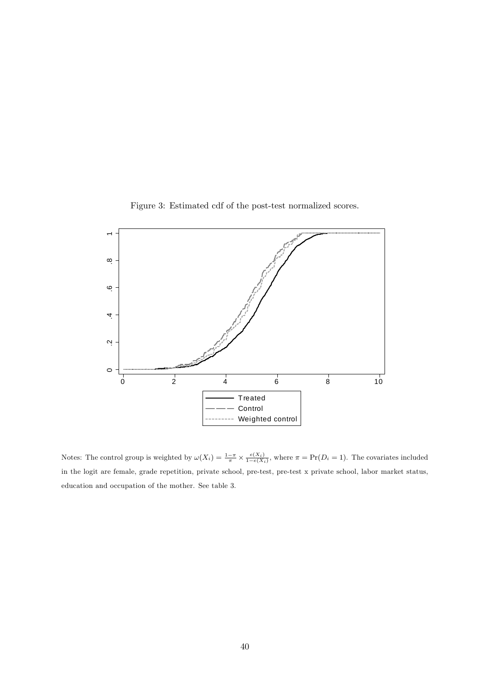

<span id="page-42-0"></span>Figure 3: Estimated cdf of the post-test normalized scores.

Notes: The control group is weighted by  $\omega(X_i) = \frac{1-\pi}{\pi} \times \frac{e(X_i)}{1-e(X_i)}$ , where  $\pi = \Pr(D_i = 1)$ . The covariates included in the logit are female, grade repetition, private school, pre-test, pre-test x private school, labor market status, education and occupation of the mother. See table [3.](#page-33-0)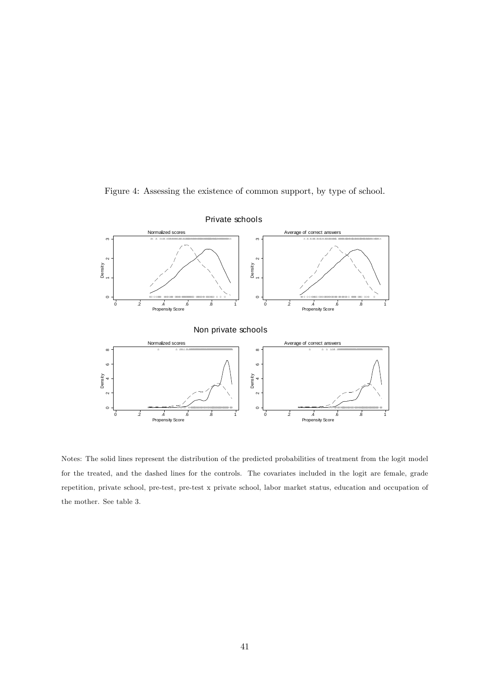

<span id="page-43-0"></span>Figure 4: Assessing the existence of common support, by type of school.

Notes: The solid lines represent the distribution of the predicted probabilities of treatment from the logit model for the treated, and the dashed lines for the controls. The covariates included in the logit are female, grade repetition, private school, pre-test, pre-test x private school, labor market status, education and occupation of the mother. See table [3.](#page-33-0)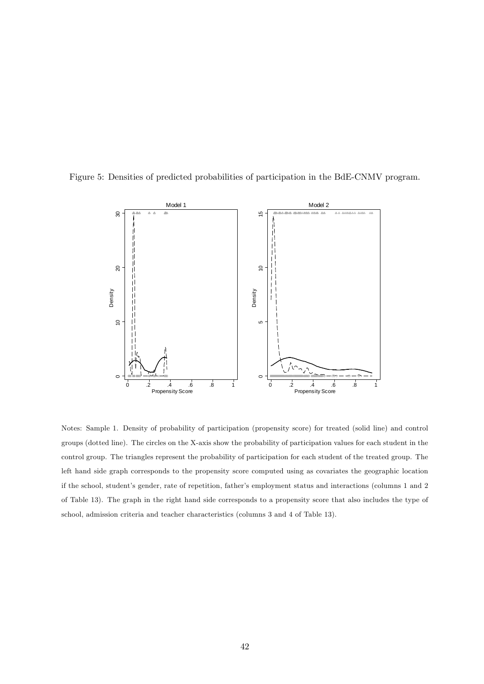Figure 5: Densities of predicted probabilities of participation in the BdE-CNMV program.

<span id="page-44-0"></span>

Notes: Sample 1. Density of probability of participation (propensity score) for treated (solid line) and control groups (dotted line). The circles on the X-axis show the probability of participation values for each student in the control group. The triangles represent the probability of participation for each student of the treated group. The left hand side graph corresponds to the propensity score computed using as covariates the geographic location if the school, student's gender, rate of repetition, father's employment status and interactions (columns 1 and 2 of Table [13\)](#page-39-0). The graph in the right hand side corresponds to a propensity score that also includes the type of school, admission criteria and teacher characteristics (columns 3 and 4 of Table [13\)](#page-39-0).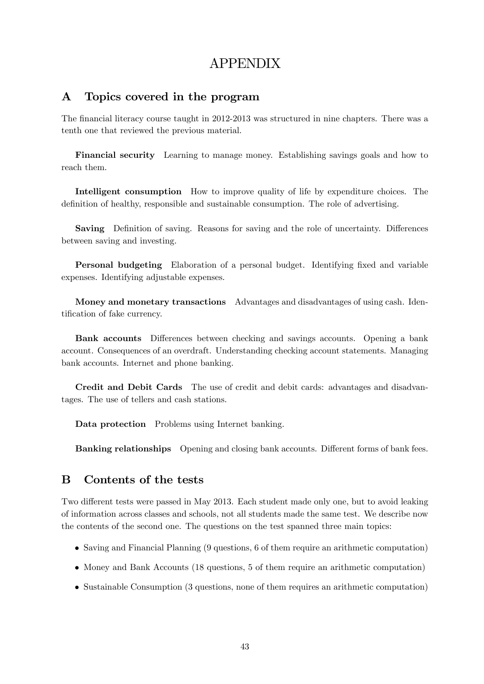## APPENDIX

## <span id="page-45-0"></span>A Topics covered in the program

The financial literacy course taught in 2012-2013 was structured in nine chapters. There was a tenth one that reviewed the previous material.

Financial security Learning to manage money. Establishing savings goals and how to reach them.

Intelligent consumption How to improve quality of life by expenditure choices. The definition of healthy, responsible and sustainable consumption. The role of advertising.

Saving Definition of saving. Reasons for saving and the role of uncertainty. Differences between saving and investing.

Personal budgeting Elaboration of a personal budget. Identifying fixed and variable expenses. Identifying adjustable expenses.

Money and monetary transactions Advantages and disadvantages of using cash. Identification of fake currency.

Bank accounts Differences between checking and savings accounts. Opening a bank account. Consequences of an overdraft. Understanding checking account statements. Managing bank accounts. Internet and phone banking.

Credit and Debit Cards The use of credit and debit cards: advantages and disadvantages. The use of tellers and cash stations.

Data protection Problems using Internet banking.

Banking relationships Opening and closing bank accounts. Different forms of bank fees.

## <span id="page-45-1"></span>B Contents of the tests

Two different tests were passed in May 2013. Each student made only one, but to avoid leaking of information across classes and schools, not all students made the same test. We describe now the contents of the second one. The questions on the test spanned three main topics:

- Saving and Financial Planning (9 questions, 6 of them require an arithmetic computation)
- Money and Bank Accounts (18 questions, 5 of them require an arithmetic computation)
- Sustainable Consumption (3 questions, none of them requires an arithmetic computation)